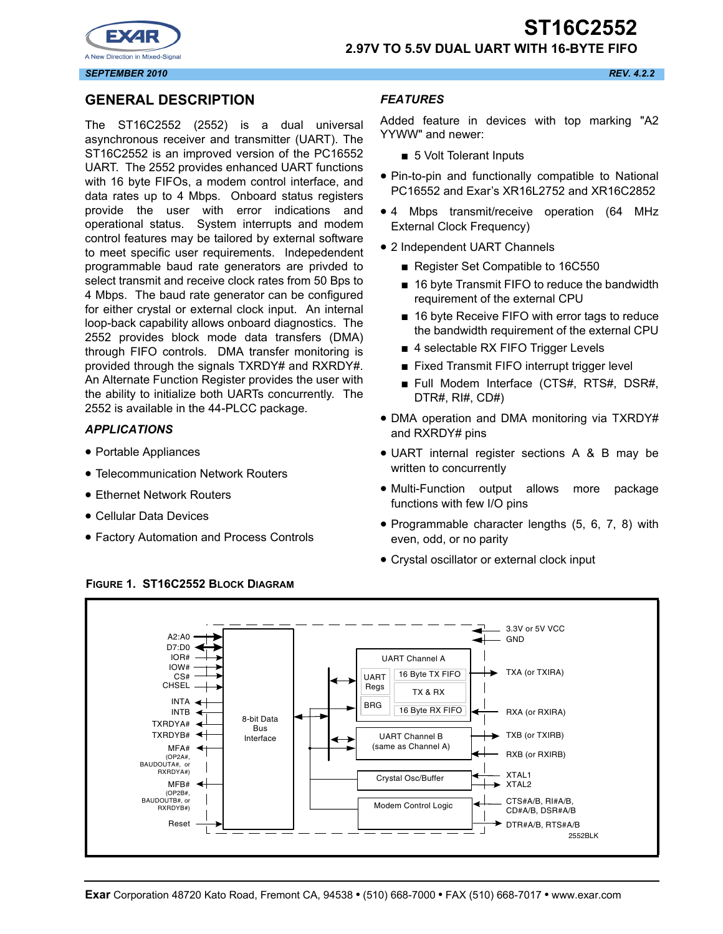



# **2.97V TO 5.5V DUAL UART WITH 16-BYTE FIFO**

*SEPTEMBER 2010 REV. 4.2.2*

# **GENERAL DESCRIPTION**

The ST16C2552 (2552) is a dual universal asynchronous receiver and transmitter (UART). The ST16C2552 is an improved version of the PC16552 UART. The 2552 provides enhanced UART functions with 16 byte FIFOs, a modem control interface, and data rates up to 4 Mbps. Onboard status registers provide the user with error indications and operational status. System interrupts and modem control features may be tailored by external software to meet specific user requirements. Indepedendent programmable baud rate generators are privded to select transmit and receive clock rates from 50 Bps to 4 Mbps. The baud rate generator can be configured for either crystal or external clock input. An internal loop-back capability allows onboard diagnostics. The 2552 provides block mode data transfers (DMA) through FIFO controls. DMA transfer monitoring is provided through the signals TXRDY# and RXRDY#. An Alternate Function Register provides the user with the ability to initialize both UARTs concurrently. The 2552 is available in the 44-PLCC package.

#### *APPLICATIONS*

- Portable Appliances
- Telecommunication Network Routers
- Ethernet Network Routers
- Cellular Data Devices
- Factory Automation and Process Controls

#### *FEATURES*

Added feature in devices with top marking "A2 YYWW" and newer:

- 5 Volt Tolerant Inputs
- Pin-to-pin and functionally compatible to National PC16552 and Exar's XR16L2752 and XR16C2852
- 4 Mbps transmit/receive operation (64 MHz External Clock Frequency)
- 2 Independent UART Channels
	- Register Set Compatible to 16C550
	- 16 byte Transmit FIFO to reduce the bandwidth requirement of the external CPU
	- 16 byte Receive FIFO with error tags to reduce the bandwidth requirement of the external CPU
	- 4 selectable RX FIFO Trigger Levels
	- Fixed Transmit FIFO interrupt trigger level
	- Full Modem Interface (CTS#, RTS#, DSR#, DTR#, RI#, CD#)
- DMA operation and DMA monitoring via TXRDY# and RXRDY# pins
- UART internal register sections A & B may be written to concurrently
- Multi-Function output allows more package functions with few I/O pins
- Programmable character lengths (5, 6, 7, 8) with even, odd, or no parity
- Crystal oscillator or external clock input



**FIGURE 1. ST16C2552 BLOCK DIAGRAM**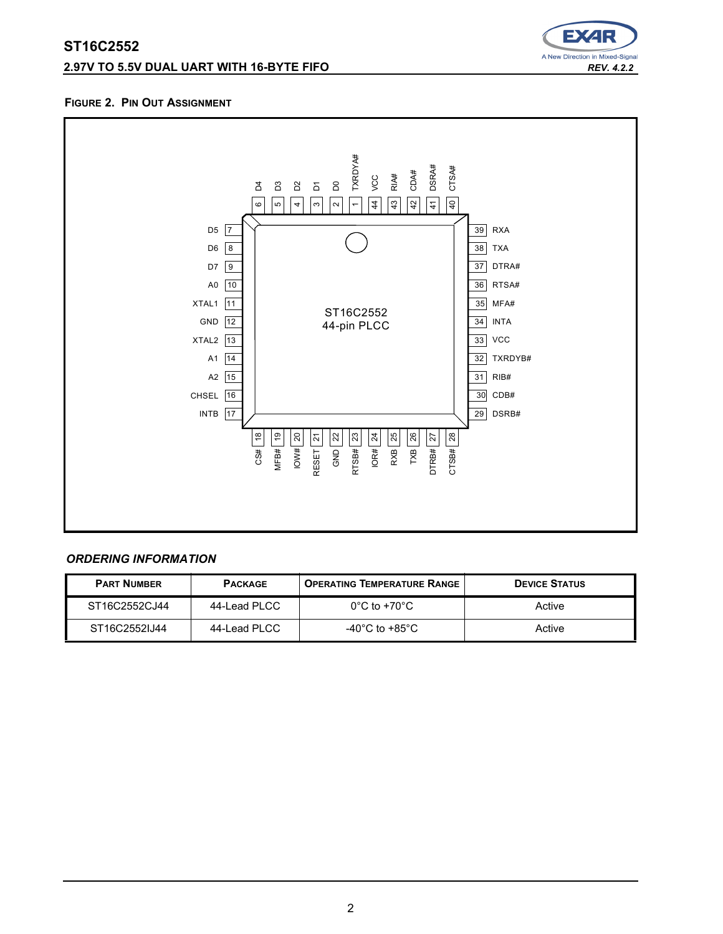# **2.97V TO 5.5V DUAL UART WITH 16-BYTE FIFO** *REV. 4.2.2*



#### **FIGURE 2. PIN OUT ASSIGNMENT**



# *ORDERING INFORMATION*

| <b>PART NUMBER</b> | <b>PACKAGE</b> | <b>OPERATING TEMPERATURE RANGE</b> | <b>DEVICE STATUS</b> |  |
|--------------------|----------------|------------------------------------|----------------------|--|
| ST16C2552C.I44     | 44-Lead PLCC   | $0^{\circ}$ C to +70 $^{\circ}$ C  | Active               |  |
| ST16C2552IJ44      | 44-Lead PLCC   | -40°C to +85°C                     | Active               |  |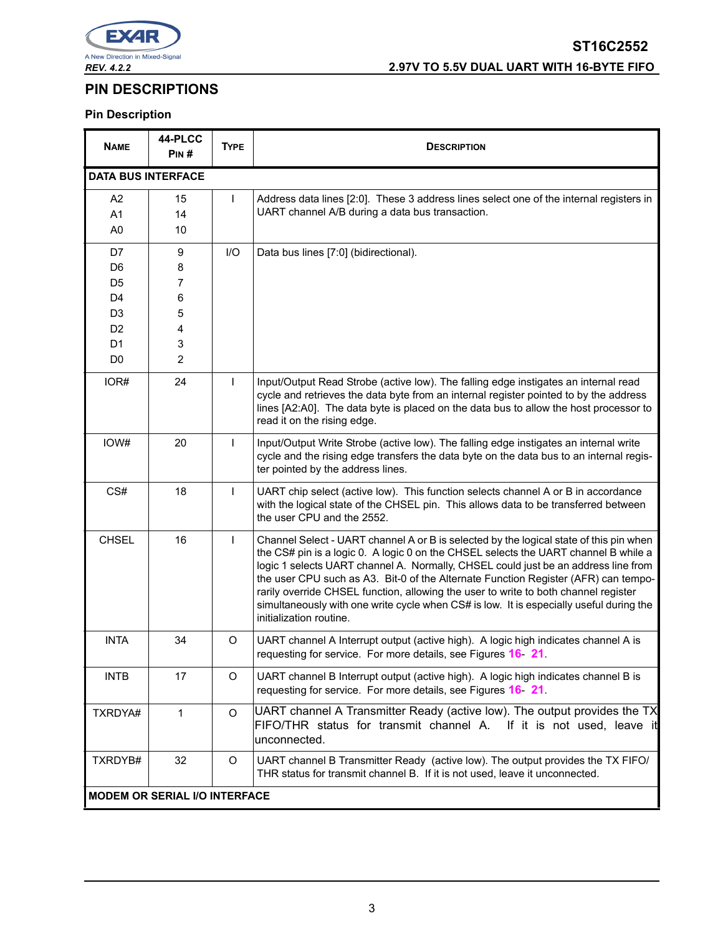

# **ST16C2552** *REV. 4.2.2* **2.97V TO 5.5V DUAL UART WITH 16-BYTE FIFO**

# **PIN DESCRIPTIONS**

# **Pin Description**

| <b>NAME</b>               | 44-PLCC<br>PIN#                      | <b>TYPE</b>  | <b>DESCRIPTION</b>                                                                                                                                                                                                                                                                                                                                                                                                                                                                                                                                                     |
|---------------------------|--------------------------------------|--------------|------------------------------------------------------------------------------------------------------------------------------------------------------------------------------------------------------------------------------------------------------------------------------------------------------------------------------------------------------------------------------------------------------------------------------------------------------------------------------------------------------------------------------------------------------------------------|
| <b>DATA BUS INTERFACE</b> |                                      |              |                                                                                                                                                                                                                                                                                                                                                                                                                                                                                                                                                                        |
| A <sub>2</sub>            | 15                                   | $\mathsf{L}$ | Address data lines [2:0]. These 3 address lines select one of the internal registers in                                                                                                                                                                                                                                                                                                                                                                                                                                                                                |
| A <sub>1</sub>            | 14                                   |              | UART channel A/B during a data bus transaction.                                                                                                                                                                                                                                                                                                                                                                                                                                                                                                                        |
| A <sub>0</sub>            | 10                                   |              |                                                                                                                                                                                                                                                                                                                                                                                                                                                                                                                                                                        |
| D7                        | 9                                    | I/O          | Data bus lines [7:0] (bidirectional).                                                                                                                                                                                                                                                                                                                                                                                                                                                                                                                                  |
| D <sub>6</sub>            | 8                                    |              |                                                                                                                                                                                                                                                                                                                                                                                                                                                                                                                                                                        |
| D <sub>5</sub>            | 7                                    |              |                                                                                                                                                                                                                                                                                                                                                                                                                                                                                                                                                                        |
| D <sub>4</sub>            | 6                                    |              |                                                                                                                                                                                                                                                                                                                                                                                                                                                                                                                                                                        |
| D <sub>3</sub>            | 5                                    |              |                                                                                                                                                                                                                                                                                                                                                                                                                                                                                                                                                                        |
| D <sub>2</sub>            | 4                                    |              |                                                                                                                                                                                                                                                                                                                                                                                                                                                                                                                                                                        |
| D <sub>1</sub>            | 3                                    |              |                                                                                                                                                                                                                                                                                                                                                                                                                                                                                                                                                                        |
| D <sub>0</sub>            | 2                                    |              |                                                                                                                                                                                                                                                                                                                                                                                                                                                                                                                                                                        |
| IOR#                      | 24                                   | $\mathsf{L}$ | Input/Output Read Strobe (active low). The falling edge instigates an internal read<br>cycle and retrieves the data byte from an internal register pointed to by the address<br>lines [A2:A0]. The data byte is placed on the data bus to allow the host processor to<br>read it on the rising edge.                                                                                                                                                                                                                                                                   |
| IOW#                      | 20                                   | $\mathsf{L}$ | Input/Output Write Strobe (active low). The falling edge instigates an internal write<br>cycle and the rising edge transfers the data byte on the data bus to an internal regis-<br>ter pointed by the address lines.                                                                                                                                                                                                                                                                                                                                                  |
| CS#                       | 18                                   | $\mathsf{L}$ | UART chip select (active low). This function selects channel A or B in accordance<br>with the logical state of the CHSEL pin. This allows data to be transferred between<br>the user CPU and the 2552.                                                                                                                                                                                                                                                                                                                                                                 |
| <b>CHSEL</b>              | 16                                   | $\mathsf{L}$ | Channel Select - UART channel A or B is selected by the logical state of this pin when<br>the CS# pin is a logic 0. A logic 0 on the CHSEL selects the UART channel B while a<br>logic 1 selects UART channel A. Normally, CHSEL could just be an address line from<br>the user CPU such as A3. Bit-0 of the Alternate Function Register (AFR) can tempo-<br>rarily override CHSEL function, allowing the user to write to both channel register<br>simultaneously with one write cycle when CS# is low. It is especially useful during the<br>initialization routine. |
| <b>INTA</b>               | 34                                   | O            | UART channel A Interrupt output (active high). A logic high indicates channel A is<br>requesting for service. For more details, see Figures 16 21.                                                                                                                                                                                                                                                                                                                                                                                                                     |
| <b>INTB</b>               | 17                                   | O            | UART channel B Interrupt output (active high). A logic high indicates channel B is<br>requesting for service. For more details, see Figures 16 21                                                                                                                                                                                                                                                                                                                                                                                                                      |
| TXRDYA#                   | $\mathbf{1}$                         | O            | UART channel A Transmitter Ready (active low). The output provides the TX<br>FIFO/THR status for transmit channel A. If it is not used, leave it<br>unconnected.                                                                                                                                                                                                                                                                                                                                                                                                       |
| TXRDYB#                   | 32                                   | O            | UART channel B Transmitter Ready (active low). The output provides the TX FIFO/<br>THR status for transmit channel B. If it is not used, leave it unconnected.                                                                                                                                                                                                                                                                                                                                                                                                         |
|                           | <b>MODEM OR SERIAL I/O INTERFACE</b> |              |                                                                                                                                                                                                                                                                                                                                                                                                                                                                                                                                                                        |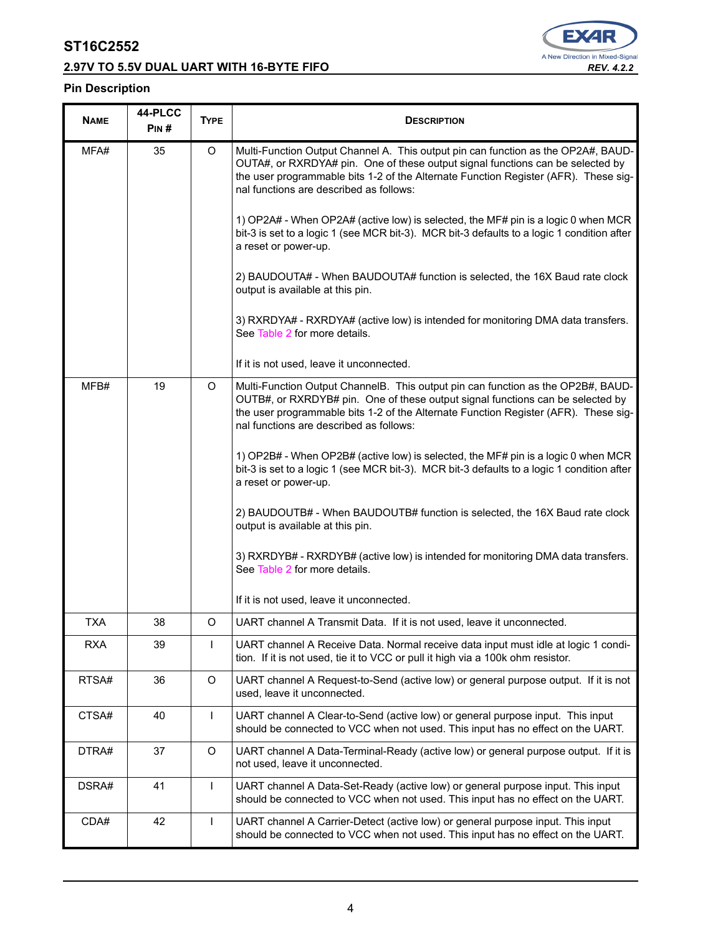# **2.97V TO 5.5V DUAL UART WITH 16-BYTE FIFO** *REV. 4.2.2*



# **Pin Description**

| <b>NAME</b> | 44-PLCC<br>PIN# | <b>TYPE</b>  | <b>DESCRIPTION</b>                                                                                                                                                                                                                                                                                    |  |  |  |  |
|-------------|-----------------|--------------|-------------------------------------------------------------------------------------------------------------------------------------------------------------------------------------------------------------------------------------------------------------------------------------------------------|--|--|--|--|
| MFA#        | 35              | O            | Multi-Function Output Channel A. This output pin can function as the OP2A#, BAUD-<br>OUTA#, or RXRDYA# pin. One of these output signal functions can be selected by<br>the user programmable bits 1-2 of the Alternate Function Register (AFR). These sig-<br>nal functions are described as follows: |  |  |  |  |
|             |                 |              | 1) OP2A# - When OP2A# (active low) is selected, the MF# pin is a logic 0 when MCR<br>bit-3 is set to a logic 1 (see MCR bit-3). MCR bit-3 defaults to a logic 1 condition after<br>a reset or power-up.                                                                                               |  |  |  |  |
|             |                 |              | 2) BAUDOUTA# - When BAUDOUTA# function is selected, the 16X Baud rate clock<br>output is available at this pin.                                                                                                                                                                                       |  |  |  |  |
|             |                 |              | 3) RXRDYA# - RXRDYA# (active low) is intended for monitoring DMA data transfers.<br>See Table 2 for more details.                                                                                                                                                                                     |  |  |  |  |
|             |                 |              | If it is not used, leave it unconnected.                                                                                                                                                                                                                                                              |  |  |  |  |
| MFB#        | 19              | O            | Multi-Function Output ChannelB. This output pin can function as the OP2B#, BAUD-<br>OUTB#, or RXRDYB# pin. One of these output signal functions can be selected by<br>the user programmable bits 1-2 of the Alternate Function Register (AFR). These sig-<br>nal functions are described as follows:  |  |  |  |  |
|             |                 |              | 1) OP2B# - When OP2B# (active low) is selected, the MF# pin is a logic 0 when MCR<br>bit-3 is set to a logic 1 (see MCR bit-3). MCR bit-3 defaults to a logic 1 condition after<br>a reset or power-up.                                                                                               |  |  |  |  |
|             |                 |              | 2) BAUDOUTB# - When BAUDOUTB# function is selected, the 16X Baud rate clock<br>output is available at this pin.                                                                                                                                                                                       |  |  |  |  |
|             |                 |              | 3) RXRDYB# - RXRDYB# (active low) is intended for monitoring DMA data transfers.<br>See Table 2 for more details.                                                                                                                                                                                     |  |  |  |  |
|             |                 |              | If it is not used, leave it unconnected.                                                                                                                                                                                                                                                              |  |  |  |  |
| <b>TXA</b>  | 38              | O            | UART channel A Transmit Data. If it is not used, leave it unconnected.                                                                                                                                                                                                                                |  |  |  |  |
| <b>RXA</b>  | 39              | $\mathsf{I}$ | UART channel A Receive Data. Normal receive data input must idle at logic 1 condi-<br>tion. If it is not used, tie it to VCC or pull it high via a 100k ohm resistor.                                                                                                                                 |  |  |  |  |
| RTSA#       | 36              | O            | UART channel A Request-to-Send (active low) or general purpose output. If it is not<br>used, leave it unconnected.                                                                                                                                                                                    |  |  |  |  |
| CTSA#       | 40              | $\mathbf{I}$ | UART channel A Clear-to-Send (active low) or general purpose input. This input<br>should be connected to VCC when not used. This input has no effect on the UART.                                                                                                                                     |  |  |  |  |
| DTRA#       | 37              | O            | UART channel A Data-Terminal-Ready (active low) or general purpose output. If it is<br>not used, leave it unconnected.                                                                                                                                                                                |  |  |  |  |
| DSRA#       | 41              | $\mathbf{I}$ | UART channel A Data-Set-Ready (active low) or general purpose input. This input<br>should be connected to VCC when not used. This input has no effect on the UART.                                                                                                                                    |  |  |  |  |
| CDA#        | 42              | $\mathsf{L}$ | UART channel A Carrier-Detect (active low) or general purpose input. This input<br>should be connected to VCC when not used. This input has no effect on the UART.                                                                                                                                    |  |  |  |  |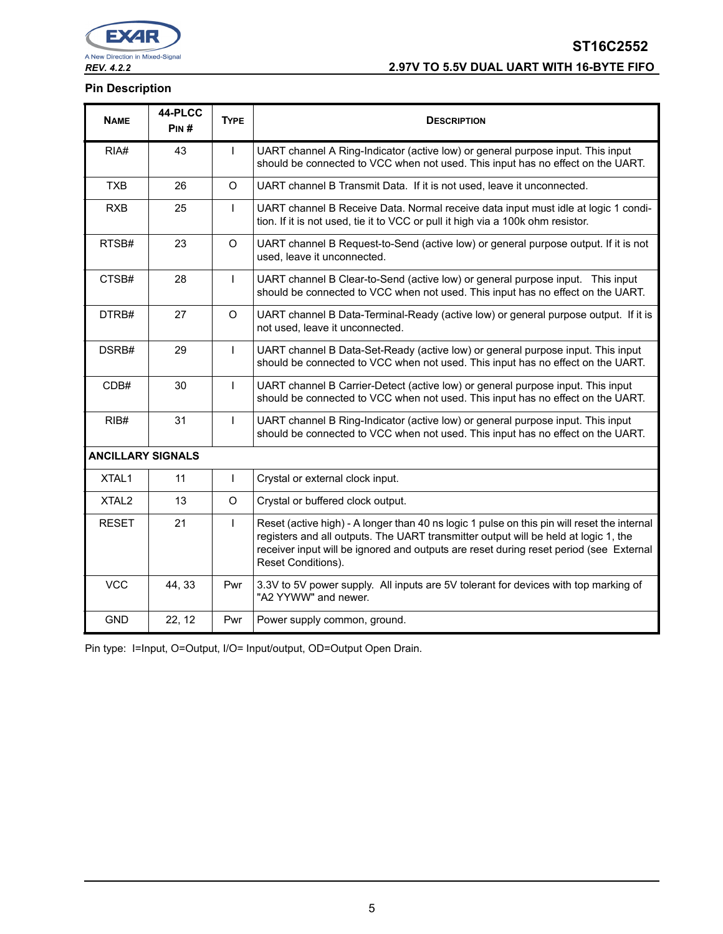

# **ST16C2552** *REV. 4.2.2* **2.97V TO 5.5V DUAL UART WITH 16-BYTE FIFO**

### **Pin Description**

| <b>NAME</b>              | 44-PLCC<br>PIN# | <b>TYPE</b>  | <b>DESCRIPTION</b>                                                                                                                                                                                                                                                                                 |
|--------------------------|-----------------|--------------|----------------------------------------------------------------------------------------------------------------------------------------------------------------------------------------------------------------------------------------------------------------------------------------------------|
| RIA#                     | 43              | $\mathsf{I}$ | UART channel A Ring-Indicator (active low) or general purpose input. This input<br>should be connected to VCC when not used. This input has no effect on the UART.                                                                                                                                 |
| <b>TXB</b>               | 26              | $\Omega$     | UART channel B Transmit Data. If it is not used, leave it unconnected.                                                                                                                                                                                                                             |
| <b>RXB</b>               | 25              | $\mathsf{I}$ | UART channel B Receive Data. Normal receive data input must idle at logic 1 condi-<br>tion. If it is not used, tie it to VCC or pull it high via a 100k ohm resistor.                                                                                                                              |
| RTSB#                    | 23              | $\circ$      | UART channel B Request-to-Send (active low) or general purpose output. If it is not<br>used, leave it unconnected.                                                                                                                                                                                 |
| CTSB#                    | 28              | $\mathsf{L}$ | UART channel B Clear-to-Send (active low) or general purpose input. This input<br>should be connected to VCC when not used. This input has no effect on the UART.                                                                                                                                  |
| DTRB#                    | 27              | $\circ$      | UART channel B Data-Terminal-Ready (active low) or general purpose output. If it is<br>not used, leave it unconnected.                                                                                                                                                                             |
| DSRB#                    | 29              | $\mathsf{I}$ | UART channel B Data-Set-Ready (active low) or general purpose input. This input<br>should be connected to VCC when not used. This input has no effect on the UART.                                                                                                                                 |
| CDB#                     | 30              | $\mathbf{I}$ | UART channel B Carrier-Detect (active low) or general purpose input. This input<br>should be connected to VCC when not used. This input has no effect on the UART.                                                                                                                                 |
| RIB#                     | 31              | $\mathbf{I}$ | UART channel B Ring-Indicator (active low) or general purpose input. This input<br>should be connected to VCC when not used. This input has no effect on the UART.                                                                                                                                 |
| <b>ANCILLARY SIGNALS</b> |                 |              |                                                                                                                                                                                                                                                                                                    |
| XTAL1                    | 11              | $\mathsf{I}$ | Crystal or external clock input.                                                                                                                                                                                                                                                                   |
| XTAL <sub>2</sub>        | 13              | O            | Crystal or buffered clock output.                                                                                                                                                                                                                                                                  |
| <b>RESET</b>             | 21              | $\mathsf{L}$ | Reset (active high) - A longer than 40 ns logic 1 pulse on this pin will reset the internal<br>registers and all outputs. The UART transmitter output will be held at logic 1, the<br>receiver input will be ignored and outputs are reset during reset period (see External<br>Reset Conditions). |
| <b>VCC</b>               | 44, 33          | Pwr          | 3.3V to 5V power supply. All inputs are 5V tolerant for devices with top marking of<br>"A2 YYWW" and newer.                                                                                                                                                                                        |
| <b>GND</b>               | 22, 12          | Pwr          | Power supply common, ground.                                                                                                                                                                                                                                                                       |

Pin type: I=Input, O=Output, I/O= Input/output, OD=Output Open Drain.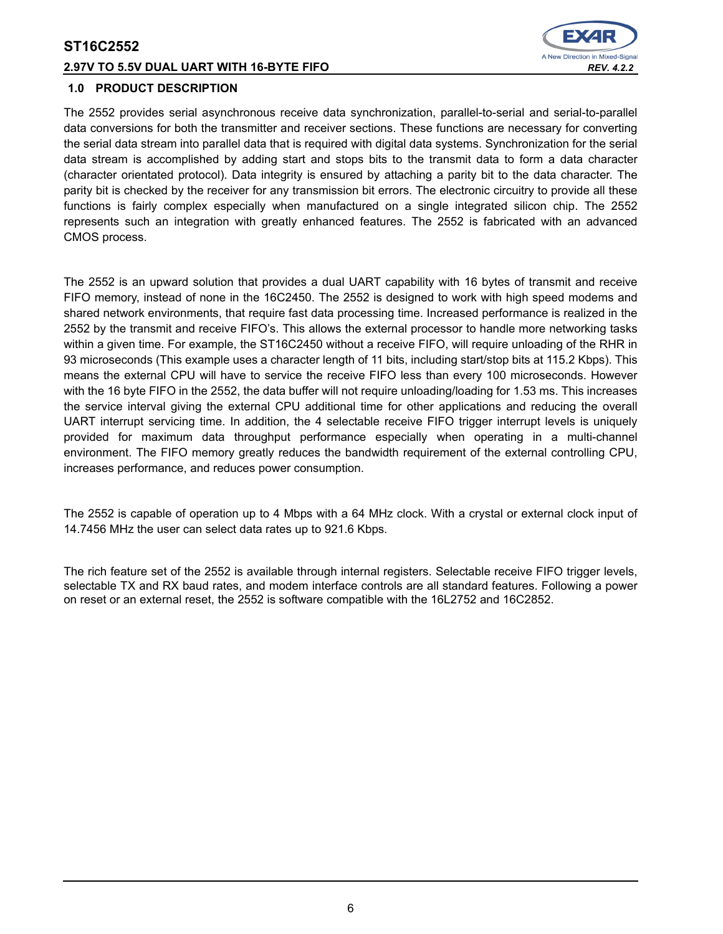#### **2.97V TO 5.5V DUAL UART WITH 16-BYTE FIFO** *REV. 4.2.2*



#### **1.0 PRODUCT DESCRIPTION**

The 2552 provides serial asynchronous receive data synchronization, parallel-to-serial and serial-to-parallel data conversions for both the transmitter and receiver sections. These functions are necessary for converting the serial data stream into parallel data that is required with digital data systems. Synchronization for the serial data stream is accomplished by adding start and stops bits to the transmit data to form a data character (character orientated protocol). Data integrity is ensured by attaching a parity bit to the data character. The parity bit is checked by the receiver for any transmission bit errors. The electronic circuitry to provide all these functions is fairly complex especially when manufactured on a single integrated silicon chip. The 2552 represents such an integration with greatly enhanced features. The 2552 is fabricated with an advanced CMOS process.

The 2552 is an upward solution that provides a dual UART capability with 16 bytes of transmit and receive FIFO memory, instead of none in the 16C2450. The 2552 is designed to work with high speed modems and shared network environments, that require fast data processing time. Increased performance is realized in the 2552 by the transmit and receive FIFO's. This allows the external processor to handle more networking tasks within a given time. For example, the ST16C2450 without a receive FIFO, will require unloading of the RHR in 93 microseconds (This example uses a character length of 11 bits, including start/stop bits at 115.2 Kbps). This means the external CPU will have to service the receive FIFO less than every 100 microseconds. However with the 16 byte FIFO in the 2552, the data buffer will not require unloading/loading for 1.53 ms. This increases the service interval giving the external CPU additional time for other applications and reducing the overall UART interrupt servicing time. In addition, the 4 selectable receive FIFO trigger interrupt levels is uniquely provided for maximum data throughput performance especially when operating in a multi-channel environment. The FIFO memory greatly reduces the bandwidth requirement of the external controlling CPU, increases performance, and reduces power consumption.

The 2552 is capable of operation up to 4 Mbps with a 64 MHz clock. With a crystal or external clock input of 14.7456 MHz the user can select data rates up to 921.6 Kbps.

The rich feature set of the 2552 is available through internal registers. Selectable receive FIFO trigger levels, selectable TX and RX baud rates, and modem interface controls are all standard features. Following a power on reset or an external reset, the 2552 is software compatible with the 16L2752 and 16C2852.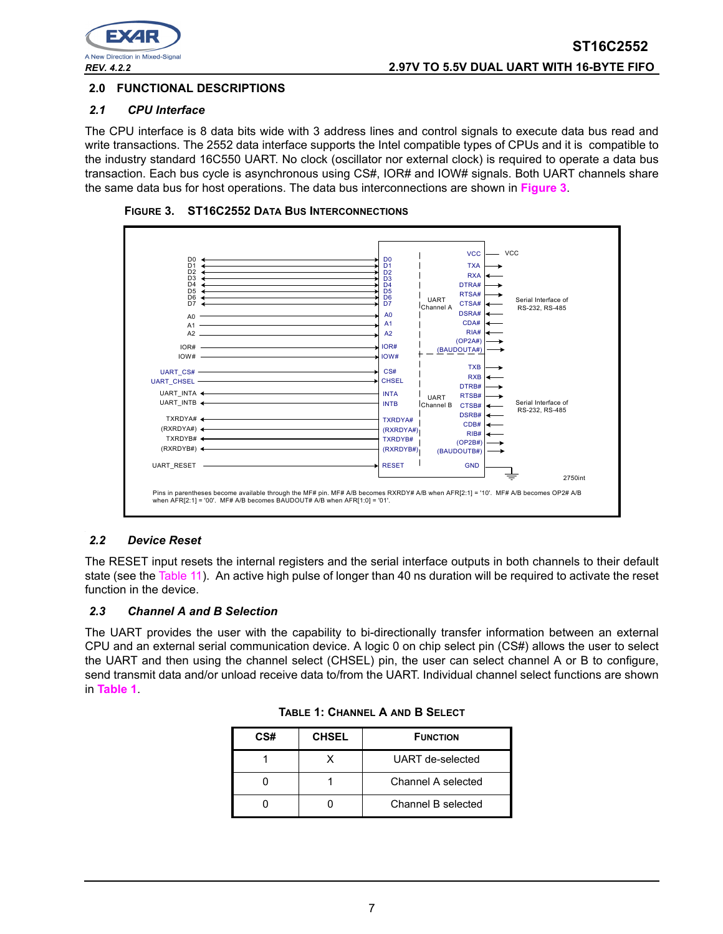

### **2.0 FUNCTIONAL DESCRIPTIONS**

#### *2.1 CPU Interface*

The CPU interface is 8 data bits wide with 3 address lines and control signals to execute data bus read and write transactions. The 2552 data interface supports the Intel compatible types of CPUs and it is compatible to the industry standard 16C550 UART. No clock (oscillator nor external clock) is required to operate a data bus transaction. Each bus cycle is asynchronous using CS#, IOR# and IOW# signals. Both UART channels share the same data bus for host operations. The data bus interconnections are shown in **[Figure](#page-6-0) 3**.

<span id="page-6-0"></span>



#### *2.2 Device Reset*

The RESET input resets the internal registers and the serial interface outputs in both channels to their default state (see the [Table](#page-24-0) 11). An active high pulse of longer than 40 ns duration will be required to activate the reset function in the device.

#### *2.3 Channel A and B Selection*

<span id="page-6-1"></span>The UART provides the user with the capability to bi-directionally transfer information between an external CPU and an external serial communication device. A logic 0 on chip select pin (CS#) allows the user to select the UART and then using the channel select (CHSEL) pin, the user can select channel A or B to configure, send transmit data and/or unload receive data to/from the UART. Individual channel select functions are shown in **[Table](#page-6-1) 1**.

| CS# | <b>CHSEL</b> | <b>FUNCTION</b>    |
|-----|--------------|--------------------|
|     |              | UART de-selected   |
|     |              | Channel A selected |
|     |              | Channel B selected |

| <b>TABLE 1: CHANNEL A AND B SELECT</b> |
|----------------------------------------|
|                                        |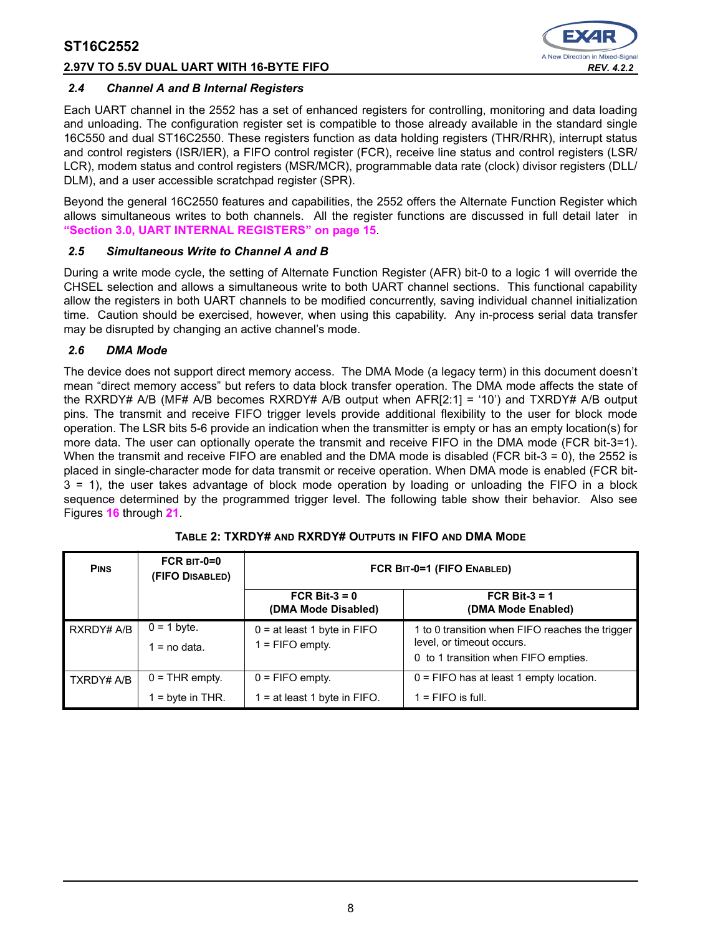# **2.97V TO 5.5V DUAL UART WITH 16-BYTE FIFO** *REV. 4.2.2*



#### *2.4 Channel A and B Internal Registers*

Each UART channel in the 2552 has a set of enhanced registers for controlling, monitoring and data loading and unloading. The configuration register set is compatible to those already available in the standard single 16C550 and dual ST16C2550. These registers function as data holding registers (THR/RHR), interrupt status and control registers (ISR/IER), a FIFO control register (FCR), receive line status and control registers (LSR/ LCR), modem status and control registers (MSR/MCR), programmable data rate (clock) divisor registers (DLL/ DLM), and a user accessible scratchpad register (SPR).

Beyond the general 16C2550 features and capabilities, the 2552 offers the Alternate Function Register which allows simultaneous writes to both channels. All the register functions are discussed in full detail later in **["Section 3.0, UART INTERNAL REGISTERS" on page](#page-14-0) 15**.

#### *2.5 Simultaneous Write to Channel A and B*

During a write mode cycle, the setting of Alternate Function Register (AFR) bit-0 to a logic 1 will override the CHSEL selection and allows a simultaneous write to both UART channel sections. This functional capability allow the registers in both UART channels to be modified concurrently, saving individual channel initialization time. Caution should be exercised, however, when using this capability. Any in-process serial data transfer may be disrupted by changing an active channel's mode.

#### *2.6 DMA Mode*

The device does not support direct memory access. The DMA Mode (a legacy term) in this document doesn't mean "direct memory access" but refers to data block transfer operation. The DMA mode affects the state of the RXRDY# A/B (MF# A/B becomes RXRDY# A/B output when AFR[2:1] = '10') and TXRDY# A/B output pins. The transmit and receive FIFO trigger levels provide additional flexibility to the user for block mode operation. The LSR bits 5-6 provide an indication when the transmitter is empty or has an empty location(s) for more data. The user can optionally operate the transmit and receive FIFO in the DMA mode (FCR bit-3=1). When the transmit and receive FIFO are enabled and the DMA mode is disabled (FCR bit-3 = 0), the 2552 is placed in single-character mode for data transmit or receive operation. When DMA mode is enabled (FCR bit-3 = 1), the user takes advantage of block mode operation by loading or unloading the FIFO in a block sequence determined by the programmed trigger level. The following table show their behavior. Also see Figures **[16](#page-29-0)** through **[21](#page-31-0)**.

<span id="page-7-0"></span>

| <b>PINS</b>       | FCR $BIT-0=0$<br>(FIFO DISABLED)       | FCR BIT-0=1 (FIFO ENABLED)                          |                                                                                                                      |  |  |  |  |  |
|-------------------|----------------------------------------|-----------------------------------------------------|----------------------------------------------------------------------------------------------------------------------|--|--|--|--|--|
|                   |                                        | FCR Bit- $3 = 0$<br>(DMA Mode Disabled)             | FCR Bit-3 = $1$<br>(DMA Mode Enabled)                                                                                |  |  |  |  |  |
| RXRDY# A/B        | $0 = 1$ byte.<br>$1 = no data$ .       | $0 = at least 1 byte in FIFO$<br>1 = FIFO empty.    | 1 to 0 transition when FIFO reaches the trigger<br>level, or timeout occurs.<br>0 to 1 transition when FIFO empties. |  |  |  |  |  |
| <b>TXRDY# A/B</b> | $0 = THR$ empty.<br>$1 =$ byte in THR. | $0 =$ FIFO empty.<br>1 = at least 1 byte in $FIFO.$ | $0 =$ FIFO has at least 1 empty location.<br>$1 =$ FIFO is full.                                                     |  |  |  |  |  |

#### **TABLE 2: TXRDY# AND RXRDY# OUTPUTS IN FIFO AND DMA MODE**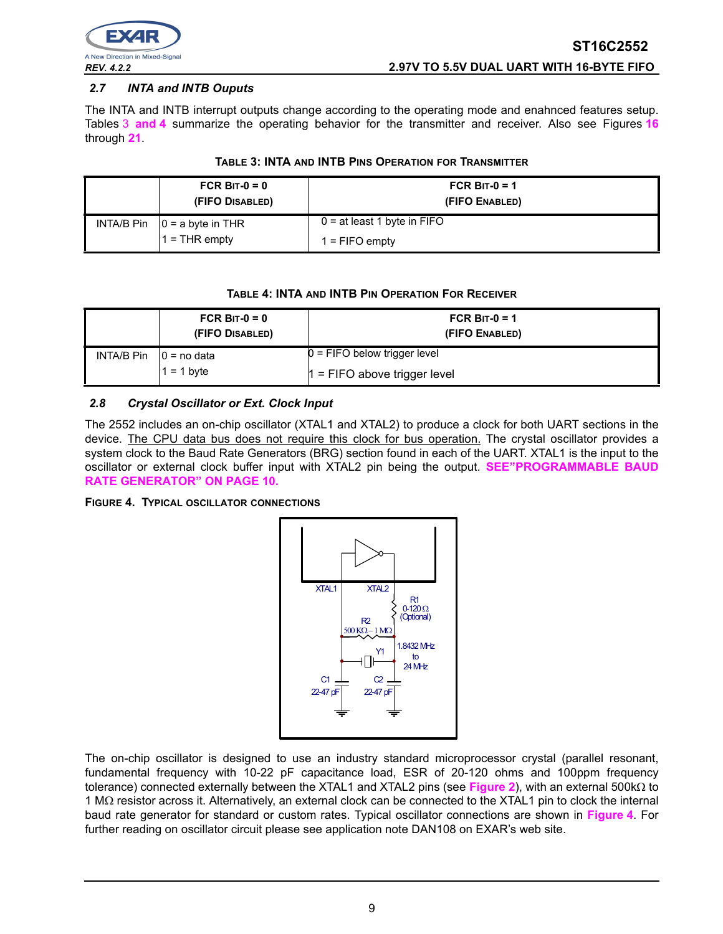

# *2.7 INTA and INTB Ouputs*

The INTA and INTB interrupt outputs change according to the operating mode and enahnced features setup. Tables [3](#page-8-0) **[and](#page-8-2) 4** summarize the operating behavior for the transmitter and receiver. Also see Figures **[16](#page-29-0)** through **[21](#page-31-0)**.

<span id="page-8-0"></span>

| FCR BIT- $0 = 0$<br>(FIFO DISABLED) | FCR BIT- $0 = 1$<br>(FIFO ENABLED) |
|-------------------------------------|------------------------------------|
| INTA/B Pin $ 0 = a$ byte in THR     | $0 = at least 1 byte in FIFO$      |
| $I = THR$ empty                     | $1 =$ FIFO empty                   |

#### **TABLE 4: INTA AND INTB PIN OPERATION FOR RECEIVER**

<span id="page-8-2"></span>

|                              | FCR BIT- $0 = 0$<br>(FIFO DISABLED) | FCR BIT- $0 = 1$<br>(FIFO ENABLED)                               |
|------------------------------|-------------------------------------|------------------------------------------------------------------|
| $INTA/B P$ in $10 =$ no data | $1 = 1$ byte                        | $0 =$ FIFO below trigger level<br>$1 =$ FIFO above trigger level |

# *2.8 Crystal Oscillator or Ext. Clock Input*

The 2552 includes an on-chip oscillator (XTAL1 and XTAL2) to produce a clock for both UART sections in the device. The CPU data bus does not require this clock for bus operation. The crystal oscillator provides a system clock to the Baud Rate Generators (BRG) section found in each of the UART. XTAL1 is the input to the oscillator or external clock buffer input with XTAL2 pin being the output. **[SEE"PROGRAMMABLE BAUD](#page-9-0)  [RATE GENERATOR" ON PAGE](#page-9-0) 10.**

<span id="page-8-1"></span>**FIGURE 4. TYPICAL OSCILLATOR CONNECTIONS**



The on-chip oscillator is designed to use an industry standard microprocessor crystal (parallel resonant, fundamental frequency with 10-22 pF capacitance load, ESR of 20-120 ohms and 100ppm frequency tolerance) connected externally between the XTAL1 and XTAL2 pins (see **[Figure](#page-7-0) 2**), with an external 500kΩ to 1 MΩ resistor across it. Alternatively, an external clock can be connected to the XTAL1 pin to clock the internal baud rate generator for standard or custom rates. Typical oscillator connections are shown in **[Figure](#page-8-1) 4**. For further reading on oscillator circuit please see application note DAN108 on EXAR's web site.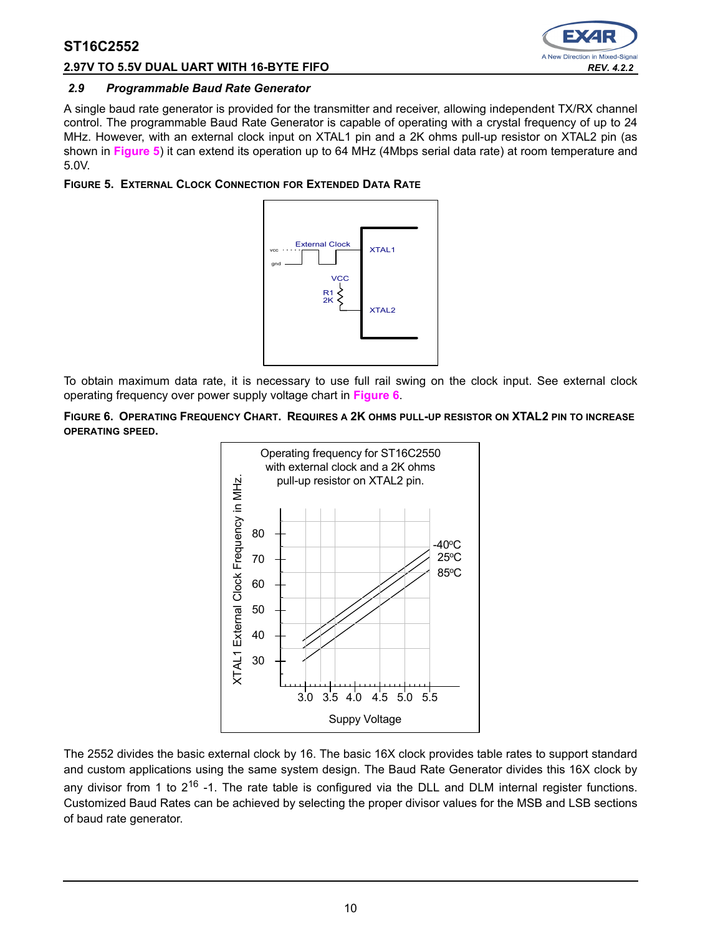

### **2.97V TO 5.5V DUAL UART WITH 16-BYTE FIFO** *REV. 4.2.2*

#### <span id="page-9-0"></span>*2.9 Programmable Baud Rate Generator*

A single baud rate generator is provided for the transmitter and receiver, allowing independent TX/RX channel control. The programmable Baud Rate Generator is capable of operating with a crystal frequency of up to 24 MHz. However, with an external clock input on XTAL1 pin and a 2K ohms pull-up resistor on XTAL2 pin (as shown in **[Figure](#page-9-2) 5**) it can extend its operation up to 64 MHz (4Mbps serial data rate) at room temperature and 5.0V.

### <span id="page-9-2"></span>**FIGURE 5. EXTERNAL CLOCK CONNECTION FOR EXTENDED DATA RATE**



To obtain maximum data rate, it is necessary to use full rail swing on the clock input. See external clock operating frequency over power supply voltage chart in **[Figure](#page-9-1) 6**.

<span id="page-9-1"></span>**FIGURE 6. OPERATING FREQUENCY CHART. REQUIRES A 2K OHMS PULL-UP RESISTOR ON XTAL2 PIN TO INCREASE OPERATING SPEED.**



The 2552 divides the basic external clock by 16. The basic 16X clock provides table rates to support standard and custom applications using the same system design. The Baud Rate Generator divides this 16X clock by any divisor from 1 to  $2^{16}$  -1. The rate table is configured via the DLL and DLM internal register functions. Customized Baud Rates can be achieved by selecting the proper divisor values for the MSB and LSB sections of baud rate generator.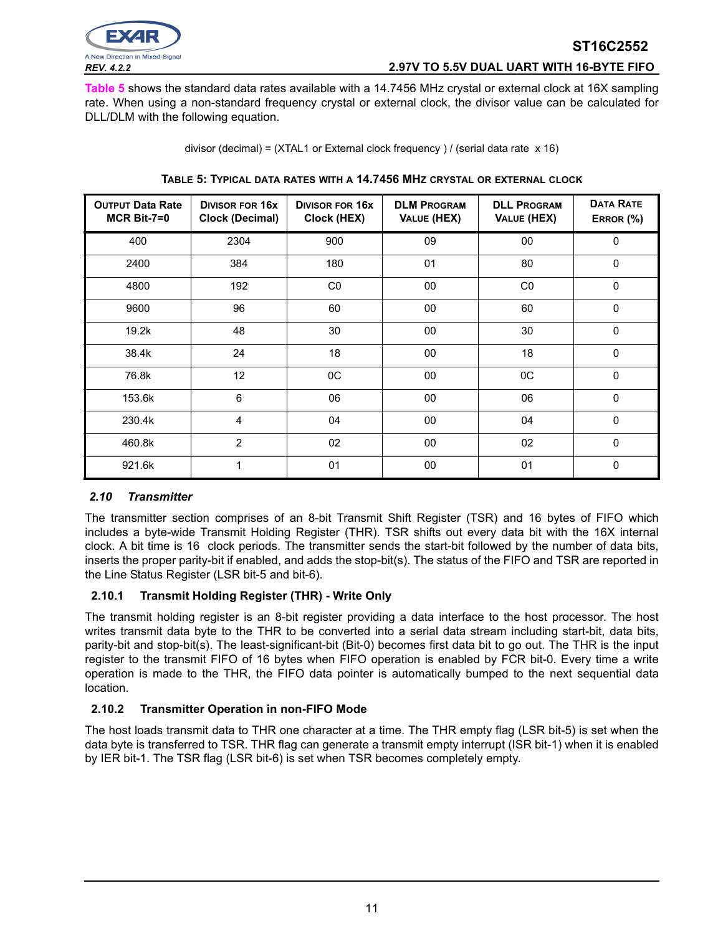

# *REV. 4.2.2* **2.97V TO 5.5V DUAL UART WITH 16-BYTE FIFO**

**ST16C2552**

**[Table](#page-10-0) 5** shows the standard data rates available with a 14.7456 MHz crystal or external clock at 16X sampling rate. When using a non-standard frequency crystal or external clock, the divisor value can be calculated for DLL/DLM with the following equation.

|  |  |  | divisor (decimal) = (XTAL1 or External clock frequency) / (serial data rate x 16) |  |
|--|--|--|-----------------------------------------------------------------------------------|--|

<span id="page-10-0"></span>

| <b>OUTPUT Data Rate</b><br>$MCR$ Bit-7=0 | <b>DIVISOR FOR 16X</b><br><b>Clock (Decimal)</b> | <b>DIVISOR FOR 16X</b><br>Clock (HEX) | <b>DLM PROGRAM</b><br>VALUE (HEX) | <b>DLL PROGRAM</b><br>VALUE (HEX) | <b>DATA RATE</b><br>ERROR (%) |
|------------------------------------------|--------------------------------------------------|---------------------------------------|-----------------------------------|-----------------------------------|-------------------------------|
| 400                                      | 2304                                             | 900                                   | 09                                | $00\,$                            | $\Omega$                      |
| 2400                                     | 384                                              | 180                                   | 01                                | 80                                | $\Omega$                      |
| 4800                                     | 192                                              | C <sub>0</sub>                        | 00                                | CO                                | $\Omega$                      |
| 9600                                     | 96                                               | 60                                    | 00                                | 60                                | $\Omega$                      |
| 19.2k                                    | 48                                               | 30                                    | 00                                | 30                                | $\mathbf 0$                   |
| 38.4k                                    | 24                                               | 18                                    | 00                                | 18                                | $\Omega$                      |
| 76.8k                                    | 12                                               | 0C                                    | $00\,$                            | OC                                | $\mathbf 0$                   |
| 153.6k                                   | 6                                                | 06                                    | $00\,$                            | 06                                | $\Omega$                      |
| 230.4k                                   | 4                                                | 04                                    | $00\,$                            | 04                                | $\mathbf 0$                   |
| 460.8k                                   | $\overline{2}$                                   | 02                                    | $00\,$                            | 02                                | $\mathbf 0$                   |
| 921.6k                                   | 1                                                | 01                                    | 00                                | 01                                | 0                             |

#### **TABLE 5: TYPICAL DATA RATES WITH A 14.7456 MHZ CRYSTAL OR EXTERNAL CLOCK**

#### <span id="page-10-1"></span>*2.10 Transmitter*

The transmitter section comprises of an 8-bit Transmit Shift Register (TSR) and 16 bytes of FIFO which includes a byte-wide Transmit Holding Register (THR). TSR shifts out every data bit with the 16X internal clock. A bit time is 16 clock periods. The transmitter sends the start-bit followed by the number of data bits, inserts the proper parity-bit if enabled, and adds the stop-bit(s). The status of the FIFO and TSR are reported in the Line Status Register (LSR bit-5 and bit-6).

#### **2.10.1 Transmit Holding Register (THR) - Write Only**

The transmit holding register is an 8-bit register providing a data interface to the host processor. The host writes transmit data byte to the THR to be converted into a serial data stream including start-bit, data bits, parity-bit and stop-bit(s). The least-significant-bit (Bit-0) becomes first data bit to go out. The THR is the input register to the transmit FIFO of 16 bytes when FIFO operation is enabled by FCR bit-0. Every time a write operation is made to the THR, the FIFO data pointer is automatically bumped to the next sequential data location.

# **2.10.2 Transmitter Operation in non-FIFO Mode**

The host loads transmit data to THR one character at a time. The THR empty flag (LSR bit-5) is set when the data byte is transferred to TSR. THR flag can generate a transmit empty interrupt (ISR bit-1) when it is enabled by IER bit-1. The TSR flag (LSR bit-6) is set when TSR becomes completely empty.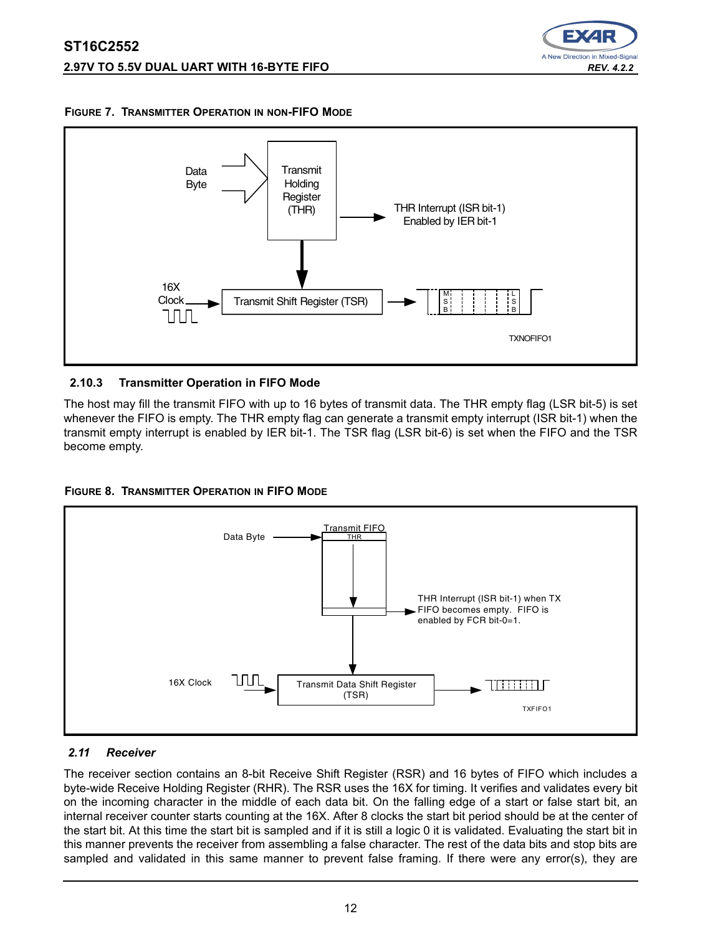





# **2.10.3 Transmitter Operation in FIFO Mode**

The host may fill the transmit FIFO with up to 16 bytes of transmit data. The THR empty flag (LSR bit-5) is set whenever the FIFO is empty. The THR empty flag can generate a transmit empty interrupt (ISR bit-1) when the transmit empty interrupt is enabled by IER bit-1. The TSR flag (LSR bit-6) is set when the FIFO and the TSR become empty.





# <span id="page-11-0"></span>*2.11 Receiver*

The receiver section contains an 8-bit Receive Shift Register (RSR) and 16 bytes of FIFO which includes a byte-wide Receive Holding Register (RHR). The RSR uses the 16X for timing. It verifies and validates every bit on the incoming character in the middle of each data bit. On the falling edge of a start or false start bit, an internal receiver counter starts counting at the 16X. After 8 clocks the start bit period should be at the center of the start bit. At this time the start bit is sampled and if it is still a logic 0 it is validated. Evaluating the start bit in this manner prevents the receiver from assembling a false character. The rest of the data bits and stop bits are sampled and validated in this same manner to prevent false framing. If there were any error(s), they are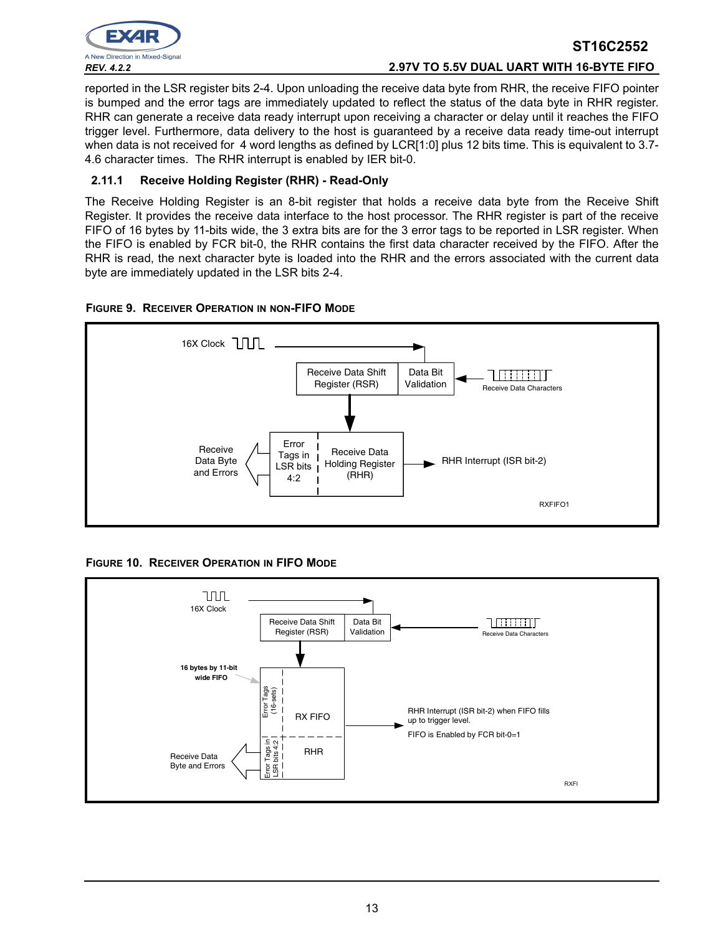

# **ST16C2552** *REV. 4.2.2* **2.97V TO 5.5V DUAL UART WITH 16-BYTE FIFO**

reported in the LSR register bits 2-4. Upon unloading the receive data byte from RHR, the receive FIFO pointer is bumped and the error tags are immediately updated to reflect the status of the data byte in RHR register. RHR can generate a receive data ready interrupt upon receiving a character or delay until it reaches the FIFO trigger level. Furthermore, data delivery to the host is guaranteed by a receive data ready time-out interrupt when data is not received for 4 word lengths as defined by LCR[1:0] plus 12 bits time. This is equivalent to 3.7-4.6 character times. The RHR interrupt is enabled by IER bit-0.

# **2.11.1 Receive Holding Register (RHR) - Read-Only**

The Receive Holding Register is an 8-bit register that holds a receive data byte from the Receive Shift Register. It provides the receive data interface to the host processor. The RHR register is part of the receive FIFO of 16 bytes by 11-bits wide, the 3 extra bits are for the 3 error tags to be reported in LSR register. When the FIFO is enabled by FCR bit-0, the RHR contains the first data character received by the FIFO. After the RHR is read, the next character byte is loaded into the RHR and the errors associated with the current data byte are immediately updated in the LSR bits 2-4.





**FIGURE 10. RECEIVER OPERATION IN FIFO MODE**

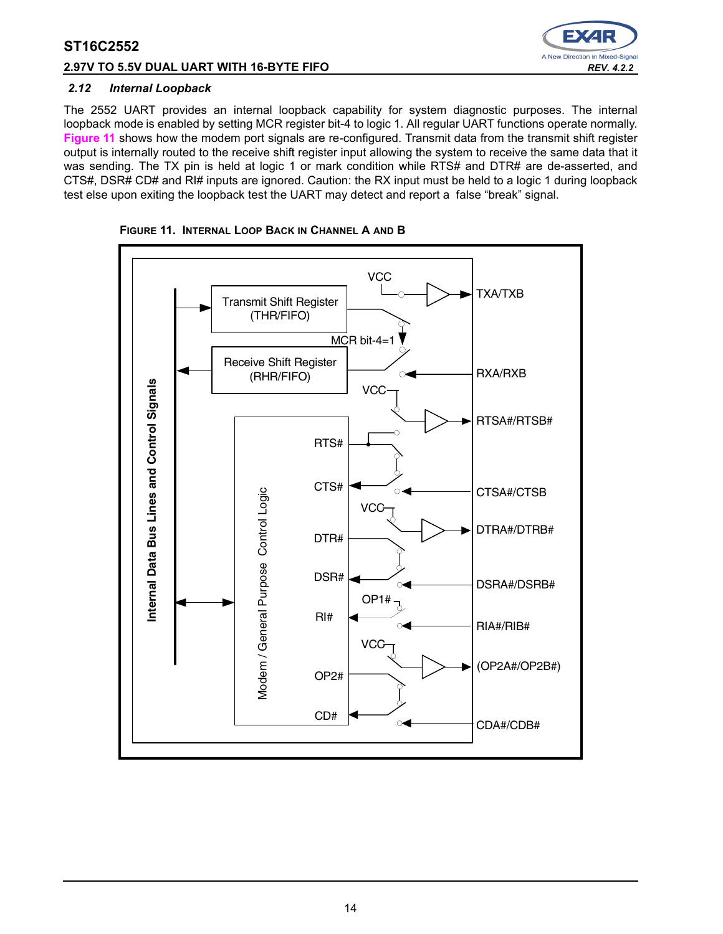# **2.97V TO 5.5V DUAL UART WITH 16-BYTE FIFO** *REV. 4.2.2*



#### *2.12 Internal Loopback*

The 2552 UART provides an internal loopback capability for system diagnostic purposes. The internal loopback mode is enabled by setting MCR register bit-4 to logic 1. All regular UART functions operate normally. **[Figure](#page-13-0) 11** shows how the modem port signals are re-configured. Transmit data from the transmit shift register output is internally routed to the receive shift register input allowing the system to receive the same data that it was sending. The TX pin is held at logic 1 or mark condition while RTS# and DTR# are de-asserted, and CTS#, DSR# CD# and RI# inputs are ignored. Caution: the RX input must be held to a logic 1 during loopback test else upon exiting the loopback test the UART may detect and report a false "break" signal.



<span id="page-13-0"></span>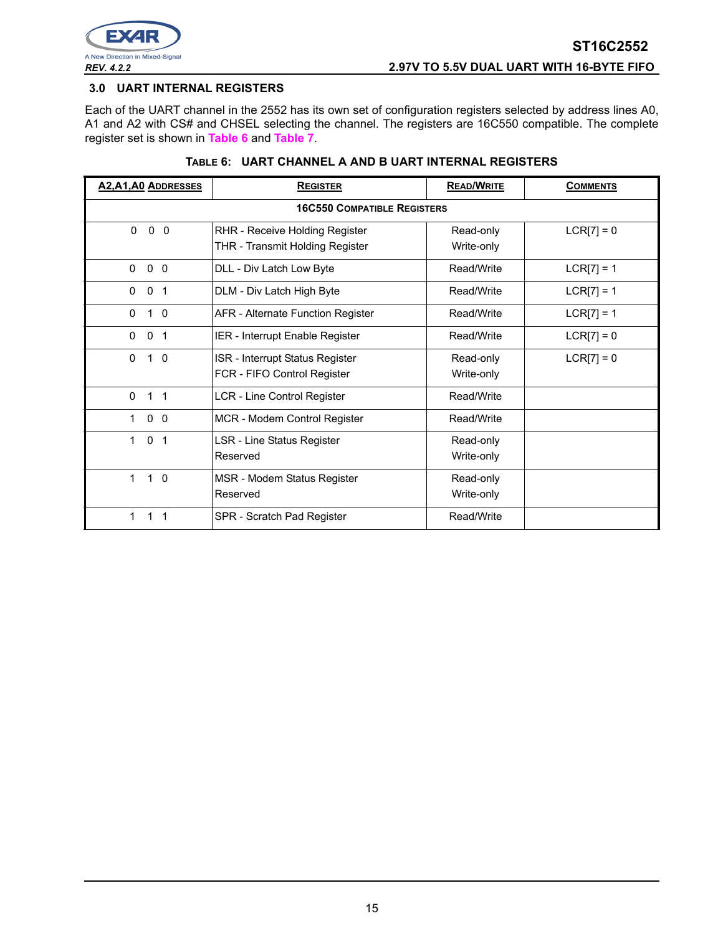

#### <span id="page-14-0"></span>**3.0 UART INTERNAL REGISTERS**

Each of the UART channel in the 2552 has its own set of configuration registers selected by address lines A0, A1 and A2 with CS# and CHSEL selecting the channel. The registers are 16C550 compatible. The complete register set is shown in **[Table](#page-14-1) 6** and **[Table](#page-15-0) 7**.

#### **TABLE 6: UART CHANNEL A AND B UART INTERNAL REGISTERS**

<span id="page-14-1"></span>

| <b>A2, A1, A0 ADDRESSES</b>                         | <b>REGISTER</b>                                                   | <b>READ/WRITE</b>       | <b>COMMENTS</b> |  |  |  |  |  |  |  |  |  |
|-----------------------------------------------------|-------------------------------------------------------------------|-------------------------|-----------------|--|--|--|--|--|--|--|--|--|
|                                                     | <b>16C550 COMPATIBLE REGISTERS</b>                                |                         |                 |  |  |  |  |  |  |  |  |  |
| $0\quad 0$<br>$\mathbf{0}$                          | RHR - Receive Holding Register<br>THR - Transmit Holding Register | Read-only<br>Write-only | $LCR[7] = 0$    |  |  |  |  |  |  |  |  |  |
| 0 <sub>0</sub><br>$\mathbf{0}$                      | DLL - Div Latch Low Byte                                          | Read/Write              | $LCR[7] = 1$    |  |  |  |  |  |  |  |  |  |
| $\Omega$<br>$\mathbf{0}$<br>$\overline{\mathbf{1}}$ | DLM - Div Latch High Byte                                         | Read/Write              | $LCR[7] = 1$    |  |  |  |  |  |  |  |  |  |
| $\Omega$<br>$\mathbf{1}$<br>$\overline{0}$          | AFR - Alternate Function Register                                 | Read/Write              | $LCR[7] = 1$    |  |  |  |  |  |  |  |  |  |
| 0 <sub>1</sub><br>$\mathbf{0}$                      | IER - Interrupt Enable Register                                   | Read/Write              | $LCR[7] = 0$    |  |  |  |  |  |  |  |  |  |
| $\mathbf{0}$<br>$\mathbf{1}$<br>$\overline{0}$      | ISR - Interrupt Status Register<br>FCR - FIFO Control Register    | Read-only<br>Write-only | $LCR[7] = 0$    |  |  |  |  |  |  |  |  |  |
| $\mathbf{0}$<br>$\mathbf{1}$<br>$\overline{1}$      | LCR - Line Control Register                                       | Read/Write              |                 |  |  |  |  |  |  |  |  |  |
| 0 <sub>0</sub><br>$\mathbf 1$                       | MCR - Modem Control Register                                      | Read/Write              |                 |  |  |  |  |  |  |  |  |  |
| $\mathbf{1}$<br>0 <sub>1</sub>                      | LSR - Line Status Register<br>Reserved                            | Read-only<br>Write-only |                 |  |  |  |  |  |  |  |  |  |
| $\mathbf{1}$<br>$1\quad$ 0                          | MSR - Modem Status Register<br>Reserved                           | Read-only<br>Write-only |                 |  |  |  |  |  |  |  |  |  |
| 1<br>$\mathbf{1}$<br>- 1                            | SPR - Scratch Pad Register                                        | Read/Write              |                 |  |  |  |  |  |  |  |  |  |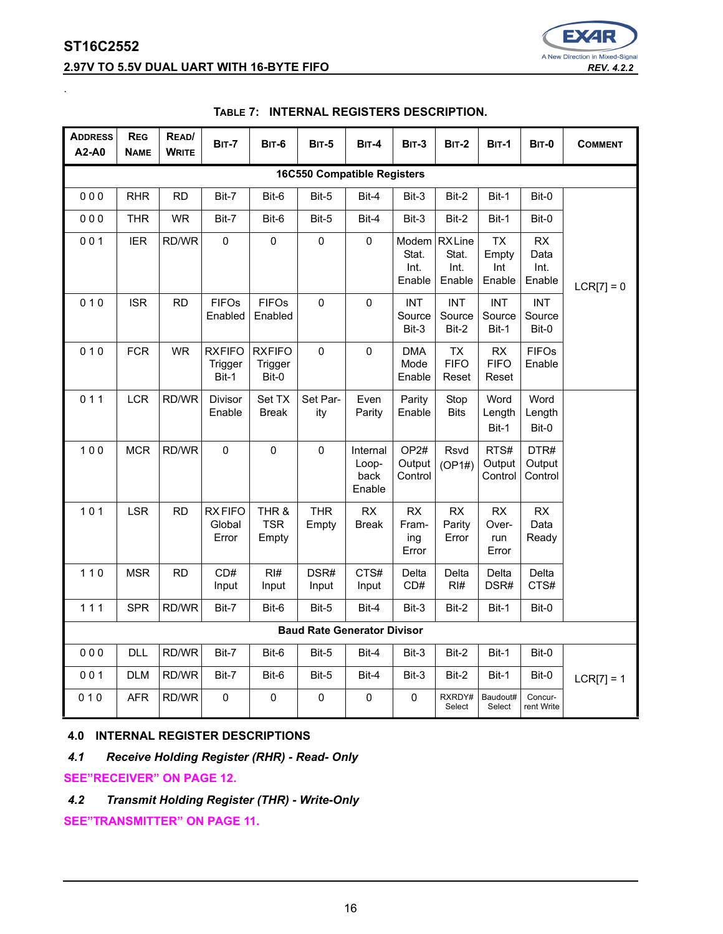<span id="page-15-0"></span>.

# **2.97V TO 5.5V DUAL UART WITH 16-BYTE FIFO** *REV. 4.2.2*



| <b>ADDRESS</b><br>A2-A0 | <b>REG</b><br><b>NAME</b>          | READ/<br><b>WRITE</b> | <b>BIT-7</b>                      | <b>BIT-6</b>                      | <b>BIT-5</b>                       | $BIT-4$                             | <b>BIT-3</b>                          | <b>BIT-2</b>                            | <b>BIT-1</b>                        | <b>BIT-0</b>                  | <b>COMMENT</b> |  |
|-------------------------|------------------------------------|-----------------------|-----------------------------------|-----------------------------------|------------------------------------|-------------------------------------|---------------------------------------|-----------------------------------------|-------------------------------------|-------------------------------|----------------|--|
|                         | <b>16C550 Compatible Registers</b> |                       |                                   |                                   |                                    |                                     |                                       |                                         |                                     |                               |                |  |
| 000                     | <b>RHR</b>                         | <b>RD</b>             | Bit-7                             | Bit-6                             | Bit-5                              | Bit-4                               | Bit-3                                 | Bit-2                                   | Bit-1                               | Bit-0                         |                |  |
| 000                     | <b>THR</b>                         | <b>WR</b>             | Bit-7                             | Bit-6                             | Bit-5                              | Bit-4                               | Bit-3                                 | Bit-2                                   | Bit-1                               | Bit-0                         |                |  |
| 001                     | <b>IER</b>                         | RD/WR                 | 0                                 | $\mathbf 0$                       | 0                                  | $\mathbf 0$                         | Stat.<br>Int.<br>Enable               | Modem RXLine<br>Stat.<br>Int.<br>Enable | <b>TX</b><br>Empty<br>Int<br>Enable | RX<br>Data<br>Int.<br>Enable  | $LCR[7] = 0$   |  |
| 010                     | <b>ISR</b>                         | <b>RD</b>             | <b>FIFOs</b><br>Enabled           | <b>FIFOs</b><br>Enabled           | $\mathbf 0$                        | $\mathbf 0$                         | <b>INT</b><br>Source<br>Bit-3         | <b>INT</b><br>Source<br>Bit-2           | <b>INT</b><br>Source<br>Bit-1       | <b>INT</b><br>Source<br>Bit-0 |                |  |
| 010                     | <b>FCR</b>                         | <b>WR</b>             | <b>RXFIFO</b><br>Trigger<br>Bit-1 | <b>RXFIFO</b><br>Trigger<br>Bit-0 | $\mathbf{0}$                       | 0                                   | <b>DMA</b><br>Mode<br>Enable          | <b>TX</b><br><b>FIFO</b><br>Reset       | <b>RX</b><br><b>FIFO</b><br>Reset   | <b>FIFOs</b><br>Enable        |                |  |
| 011                     | <b>LCR</b>                         | RD/WR                 | Divisor<br>Enable                 | Set TX<br><b>Break</b>            | Set Par-<br>ity                    | Even<br>Parity                      | Parity<br>Enable                      | Stop<br><b>Bits</b>                     | Word<br>Length<br>Bit-1             | Word<br>Length<br>Bit-0       |                |  |
| 100                     | <b>MCR</b>                         | RD/WR                 | 0                                 | $\mathbf 0$                       | 0                                  | Internal<br>Loop-<br>back<br>Enable | OP <sub>2#</sub><br>Output<br>Control | Rsvd<br>(OP1#)                          | RTS#<br>Output<br>Control           | DTR#<br>Output<br>Control     |                |  |
| $101$                   | <b>LSR</b>                         | <b>RD</b>             | <b>RXFIFO</b><br>Global<br>Error  | THR &<br><b>TSR</b><br>Empty      | <b>THR</b><br>Empty                | RX<br>Break                         | <b>RX</b><br>Fram-<br>ing<br>Error    | RX<br>Parity<br>Error                   | RX<br>Over-<br>run<br>Error         | RX<br>Data<br>Ready           |                |  |
| $110$                   | <b>MSR</b>                         | <b>RD</b>             | CD#<br>Input                      | RI#<br>Input                      | DSR#<br>Input                      | CTS#<br>Input                       | Delta<br>CD#                          | Delta<br>RH#                            | Delta<br>DSR#                       | Delta<br>CTS#                 |                |  |
| 111                     | <b>SPR</b>                         | RD/WR                 | Bit-7                             | Bit-6                             | Bit-5                              | Bit-4                               | Bit-3                                 | Bit-2                                   | Bit-1                               | Bit-0                         |                |  |
|                         |                                    |                       |                                   |                                   | <b>Baud Rate Generator Divisor</b> |                                     |                                       |                                         |                                     |                               |                |  |
| 000                     | <b>DLL</b>                         | RD/WR                 | Bit-7                             | Bit-6                             | Bit-5                              | Bit-4                               | Bit-3                                 | Bit-2                                   | Bit-1                               | Bit-0                         |                |  |
| 001                     | <b>DLM</b>                         | RD/WR                 | Bit-7                             | Bit-6                             | Bit-5                              | Bit-4                               | Bit-3                                 | Bit-2                                   | Bit-1                               | Bit-0                         | $LCR[7] = 1$   |  |
| 010                     | <b>AFR</b>                         | RD/WR                 | $\mathbf 0$                       | 0                                 | $\mathbf 0$                        | 0                                   | 0                                     | RXRDY#<br>Select                        | Baudout#<br>Select                  | Concur-<br>rent Write         |                |  |

### **TABLE 7: INTERNAL REGISTERS DESCRIPTION.**

# **4.0 INTERNAL REGISTER DESCRIPTIONS**

*4.1 Receive Holding Register (RHR) - Read- Only*

# **[SEE"RECEIVER" ON PAGE](#page-11-0) 12.**

*4.2 Transmit Holding Register (THR) - Write-Only*

**[SEE"TRANSMITTER" ON PAGE](#page-10-1) 11.**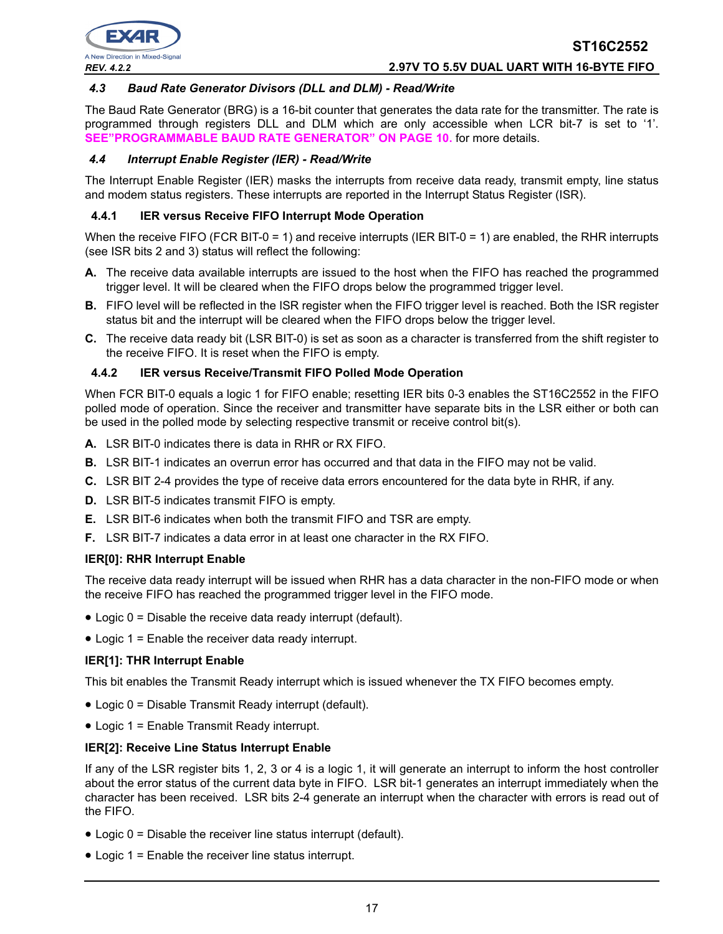#### *4.3 Baud Rate Generator Divisors (DLL and DLM) - Read/Write*

The Baud Rate Generator (BRG) is a 16-bit counter that generates the data rate for the transmitter. The rate is programmed through registers DLL and DLM which are only accessible when LCR bit-7 is set to '1'. **[SEE"PROGRAMMABLE BAUD RATE GENERATOR" ON PAGE](#page-9-0) 10.** for more details.

#### *4.4 Interrupt Enable Register (IER) - Read/Write*

The Interrupt Enable Register (IER) masks the interrupts from receive data ready, transmit empty, line status and modem status registers. These interrupts are reported in the Interrupt Status Register (ISR).

#### **4.4.1 IER versus Receive FIFO Interrupt Mode Operation**

When the receive FIFO (FCR BIT-0 = 1) and receive interrupts (IER BIT-0 = 1) are enabled, the RHR interrupts (see ISR bits 2 and 3) status will reflect the following:

- **A.** The receive data available interrupts are issued to the host when the FIFO has reached the programmed trigger level. It will be cleared when the FIFO drops below the programmed trigger level.
- **B.** FIFO level will be reflected in the ISR register when the FIFO trigger level is reached. Both the ISR register status bit and the interrupt will be cleared when the FIFO drops below the trigger level.
- **C.** The receive data ready bit (LSR BIT-0) is set as soon as a character is transferred from the shift register to the receive FIFO. It is reset when the FIFO is empty.

#### **4.4.2 IER versus Receive/Transmit FIFO Polled Mode Operation**

When FCR BIT-0 equals a logic 1 for FIFO enable; resetting IER bits 0-3 enables the ST16C2552 in the FIFO polled mode of operation. Since the receiver and transmitter have separate bits in the LSR either or both can be used in the polled mode by selecting respective transmit or receive control bit(s).

- **A.** LSR BIT-0 indicates there is data in RHR or RX FIFO.
- **B.** LSR BIT-1 indicates an overrun error has occurred and that data in the FIFO may not be valid.
- **C.** LSR BIT 2-4 provides the type of receive data errors encountered for the data byte in RHR, if any.
- **D.** LSR BIT-5 indicates transmit FIFO is empty.
- **E.** LSR BIT-6 indicates when both the transmit FIFO and TSR are empty.
- **F.** LSR BIT-7 indicates a data error in at least one character in the RX FIFO.

#### **IER[0]: RHR Interrupt Enable**

The receive data ready interrupt will be issued when RHR has a data character in the non-FIFO mode or when the receive FIFO has reached the programmed trigger level in the FIFO mode.

- Logic 0 = Disable the receive data ready interrupt (default).
- Logic 1 = Enable the receiver data ready interrupt.

#### **IER[1]: THR Interrupt Enable**

This bit enables the Transmit Ready interrupt which is issued whenever the TX FIFO becomes empty.

- Logic 0 = Disable Transmit Ready interrupt (default).
- Logic 1 = Enable Transmit Ready interrupt.

#### **IER[2]: Receive Line Status Interrupt Enable**

If any of the LSR register bits 1, 2, 3 or 4 is a logic 1, it will generate an interrupt to inform the host controller about the error status of the current data byte in FIFO. LSR bit-1 generates an interrupt immediately when the character has been received. LSR bits 2-4 generate an interrupt when the character with errors is read out of the FIFO.

- Logic 0 = Disable the receiver line status interrupt (default).
- Logic 1 = Enable the receiver line status interrupt.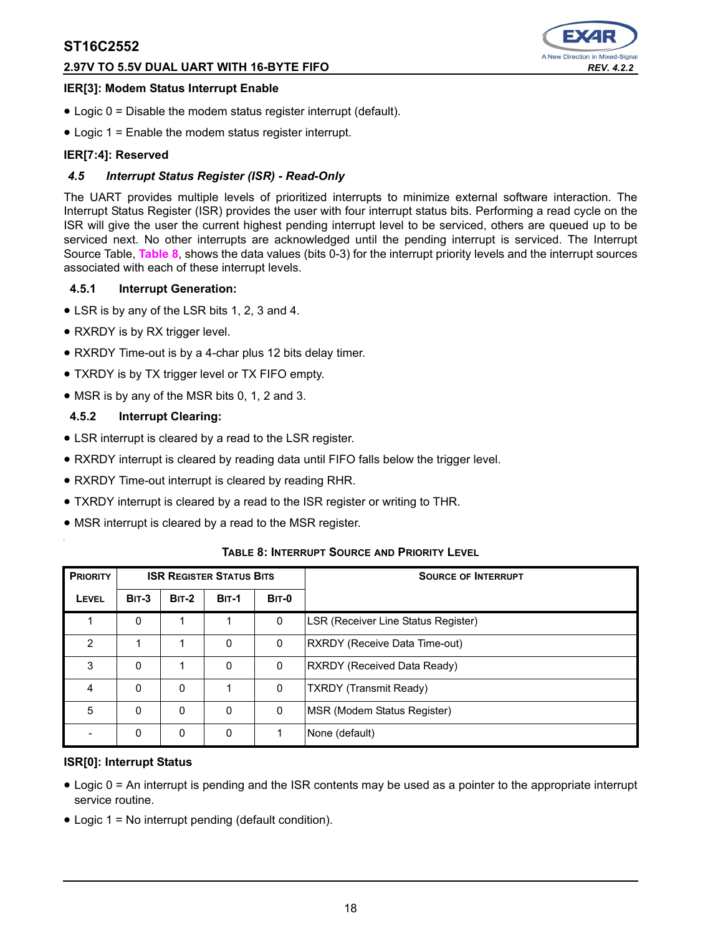# **2.97V TO 5.5V DUAL UART WITH 16-BYTE FIFO** *REV. 4.2.2*



#### **IER[3]: Modem Status Interrupt Enable**

- Logic 0 = Disable the modem status register interrupt (default).
- Logic 1 = Enable the modem status register interrupt.

#### **IER[7:4]: Reserved**

#### *4.5 Interrupt Status Register (ISR) - Read-Only*

The UART provides multiple levels of prioritized interrupts to minimize external software interaction. The Interrupt Status Register (ISR) provides the user with four interrupt status bits. Performing a read cycle on the ISR will give the user the current highest pending interrupt level to be serviced, others are queued up to be serviced next. No other interrupts are acknowledged until the pending interrupt is serviced. The Interrupt Source Table, **[Table](#page-17-0) 8**, shows the data values (bits 0-3) for the interrupt priority levels and the interrupt sources associated with each of these interrupt levels.

#### **4.5.1 Interrupt Generation:**

- LSR is by any of the LSR bits 1, 2, 3 and 4.
- RXRDY is by RX trigger level.
- RXRDY Time-out is by a 4-char plus 12 bits delay timer.
- TXRDY is by TX trigger level or TX FIFO empty.
- MSR is by any of the MSR bits 0, 1, 2 and 3.

#### **4.5.2 Interrupt Clearing:**

- LSR interrupt is cleared by a read to the LSR register.
- RXRDY interrupt is cleared by reading data until FIFO falls below the trigger level.
- RXRDY Time-out interrupt is cleared by reading RHR.
- TXRDY interrupt is cleared by a read to the ISR register or writing to THR.
- MSR interrupt is cleared by a read to the MSR register.

<span id="page-17-0"></span>

| <b>PRIORITY</b> | <b>ISR REGISTER STATUS BITS</b> |         |              | <b>SOURCE OF INTERRUPT</b> |                                     |
|-----------------|---------------------------------|---------|--------------|----------------------------|-------------------------------------|
| LEVEL           | <b>BIT-3</b>                    | $BIT-2$ | <b>BIT-1</b> | <b>BIT-0</b>               |                                     |
|                 | 0                               |         |              | 0                          | LSR (Receiver Line Status Register) |
| $\mathfrak{p}$  |                                 |         | 0            | 0                          | RXRDY (Receive Data Time-out)       |
| 3               | 0                               |         | 0            | 0                          | RXRDY (Received Data Ready)         |
| 4               | 0                               | 0       |              | 0                          | <b>TXRDY (Transmit Ready)</b>       |
| 5               | 0                               | 0       | $\mathbf 0$  | 0                          | MSR (Modem Status Register)         |
|                 | 0                               | 0       | 0            |                            | None (default)                      |

#### **TABLE 8: INTERRUPT SOURCE AND PRIORITY LEVEL**

#### **ISR[0]: Interrupt Status**

- Logic 0 = An interrupt is pending and the ISR contents may be used as a pointer to the appropriate interrupt service routine.
- Logic 1 = No interrupt pending (default condition).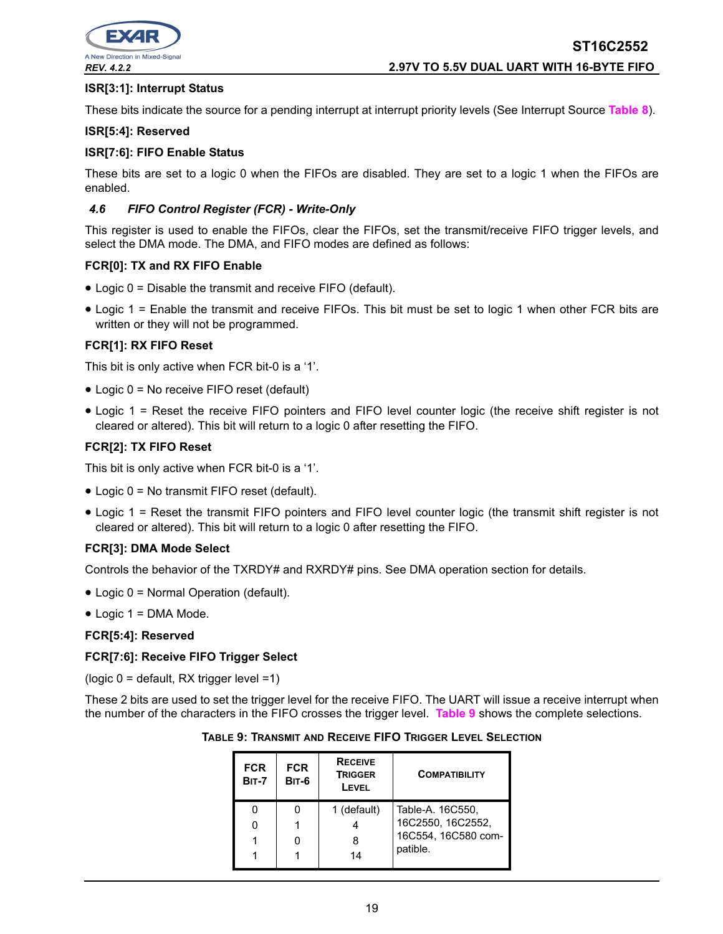

#### **ISR[3:1]: Interrupt Status**

These bits indicate the source for a pending interrupt at interrupt priority levels (See Interrupt Source **[Table](#page-17-0) 8**).

#### **ISR[5:4]: Reserved**

#### **ISR[7:6]: FIFO Enable Status**

These bits are set to a logic 0 when the FIFOs are disabled. They are set to a logic 1 when the FIFOs are enabled.

#### *4.6 FIFO Control Register (FCR) - Write-Only*

This register is used to enable the FIFOs, clear the FIFOs, set the transmit/receive FIFO trigger levels, and select the DMA mode. The DMA, and FIFO modes are defined as follows:

#### **FCR[0]: TX and RX FIFO Enable**

- Logic 0 = Disable the transmit and receive FIFO (default).
- Logic 1 = Enable the transmit and receive FIFOs. This bit must be set to logic 1 when other FCR bits are written or they will not be programmed.

#### **FCR[1]: RX FIFO Reset**

This bit is only active when FCR bit-0 is a '1'.

- Logic 0 = No receive FIFO reset (default)
- Logic 1 = Reset the receive FIFO pointers and FIFO level counter logic (the receive shift register is not cleared or altered). This bit will return to a logic 0 after resetting the FIFO.

#### **FCR[2]: TX FIFO Reset**

This bit is only active when FCR bit-0 is a '1'.

- Logic 0 = No transmit FIFO reset (default).
- Logic 1 = Reset the transmit FIFO pointers and FIFO level counter logic (the transmit shift register is not cleared or altered). This bit will return to a logic 0 after resetting the FIFO.

#### **FCR[3]: DMA Mode Select**

Controls the behavior of the TXRDY# and RXRDY# pins. See DMA operation section for details.

- Logic 0 = Normal Operation (default).
- $\bullet$  Logic 1 = DMA Mode.

#### **FCR[5:4]: Reserved**

#### **FCR[7:6]: Receive FIFO Trigger Select**

(logic 0 = default, RX trigger level =1)

<span id="page-18-0"></span>These 2 bits are used to set the trigger level for the receive FIFO. The UART will issue a receive interrupt when the number of the characters in the FIFO crosses the trigger level. **[Table](#page-18-0) 9** shows the complete selections.

| TABLE 9: TRANSMIT AND RECEIVE FIFO TRIGGER LEVEL SELECTION |
|------------------------------------------------------------|
|------------------------------------------------------------|

| <b>FCR</b><br><b>BIT-7</b> | <b>FCR</b><br><b>BIT-6</b> | <b>RECEIVE</b><br><b>TRIGGER</b><br>LEVEL | <b>COMPATIBILITY</b> |
|----------------------------|----------------------------|-------------------------------------------|----------------------|
|                            |                            | 1 (default)                               | Table-A. 16C550,     |
| 0                          |                            |                                           | 16C2550, 16C2552,    |
|                            |                            |                                           | 16C554, 16C580 com-  |
|                            |                            | 14                                        | patible.             |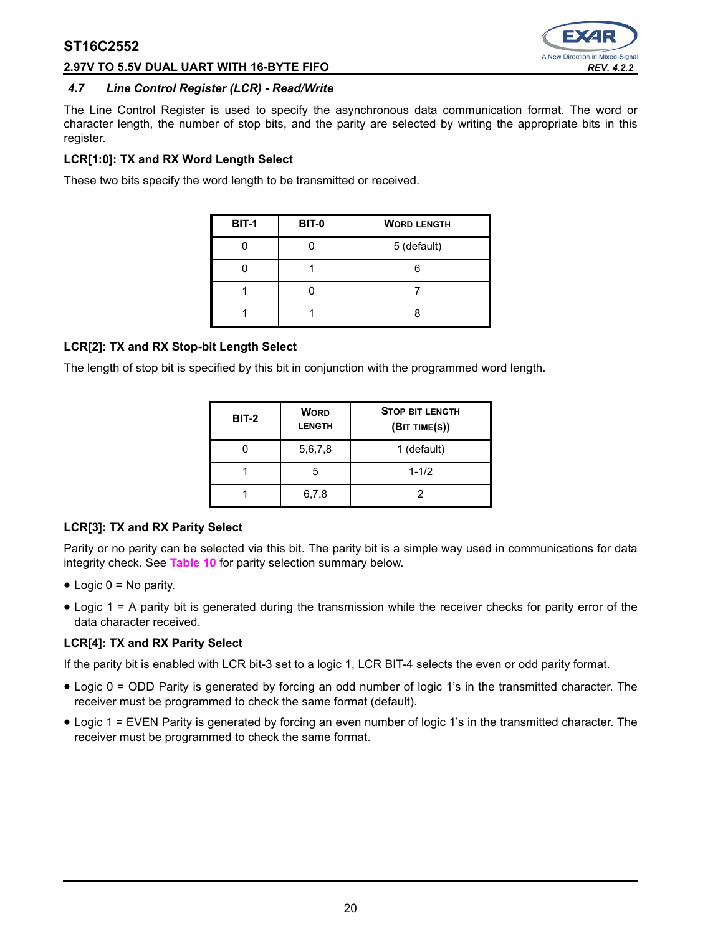

#### **2.97V TO 5.5V DUAL UART WITH 16-BYTE FIFO** *REV. 4.2.2*

#### *4.7 Line Control Register (LCR) - Read/Write*

The Line Control Register is used to specify the asynchronous data communication format. The word or character length, the number of stop bits, and the parity are selected by writing the appropriate bits in this register.

#### **LCR[1:0]: TX and RX Word Length Select**

These two bits specify the word length to be transmitted or received.

| <b>BIT-1</b> | <b>BIT-0</b> | <b>WORD LENGTH</b> |
|--------------|--------------|--------------------|
|              |              | 5 (default)        |
|              |              |                    |
|              |              |                    |
|              |              |                    |

# **LCR[2]: TX and RX Stop-bit Length Select**

The length of stop bit is specified by this bit in conjunction with the programmed word length.

| <b>BIT-2</b> | <b>WORD</b><br><b>LENGTH</b> | <b>STOP BIT LENGTH</b><br>(BIT TIME(S)) |
|--------------|------------------------------|-----------------------------------------|
|              | 5,6,7,8                      | 1 (default)                             |
|              |                              | $1 - 1/2$                               |
|              | 6,7,8                        |                                         |

#### **LCR[3]: TX and RX Parity Select**

Parity or no parity can be selected via this bit. The parity bit is a simple way used in communications for data integrity check. See **[Table](#page-20-0) 10** for parity selection summary below.

- $\bullet$  Logic 0 = No parity.
- Logic 1 = A parity bit is generated during the transmission while the receiver checks for parity error of the data character received.

#### **LCR[4]: TX and RX Parity Select**

If the parity bit is enabled with LCR bit-3 set to a logic 1, LCR BIT-4 selects the even or odd parity format.

- Logic 0 = ODD Parity is generated by forcing an odd number of logic 1's in the transmitted character. The receiver must be programmed to check the same format (default).
- Logic 1 = EVEN Parity is generated by forcing an even number of logic 1's in the transmitted character. The receiver must be programmed to check the same format.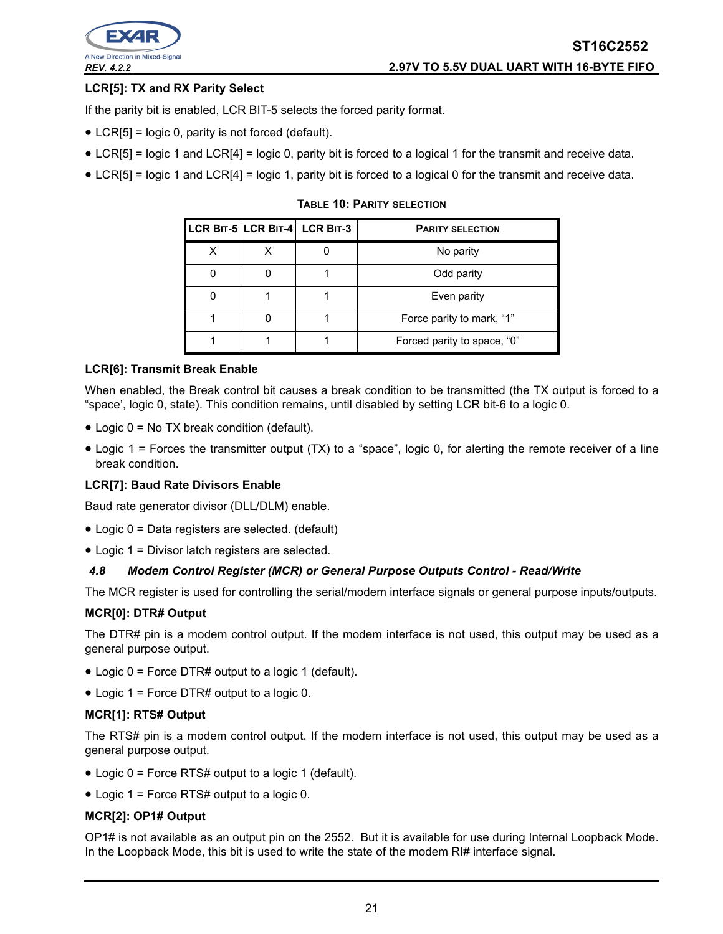

### **LCR[5]: TX and RX Parity Select**

If the parity bit is enabled, LCR BIT-5 selects the forced parity format.

- LCR[5] = logic 0, parity is not forced (default).
- LCR[5] = logic 1 and LCR[4] = logic 0, parity bit is forced to a logical 1 for the transmit and receive data.
- <span id="page-20-0"></span>• LCR[5] = logic 1 and LCR[4] = logic 1, parity bit is forced to a logical 0 for the transmit and receive data.

|  | LCR BIT-5 LCR BIT-4 LCR BIT-3 | <b>PARITY SELECTION</b>     |
|--|-------------------------------|-----------------------------|
|  |                               | No parity                   |
|  |                               | Odd parity                  |
|  |                               | Even parity                 |
|  |                               | Force parity to mark, "1"   |
|  |                               | Forced parity to space, "0" |

**TABLE 10: PARITY SELECTION**

#### **LCR[6]: Transmit Break Enable**

When enabled, the Break control bit causes a break condition to be transmitted (the TX output is forced to a "space', logic 0, state). This condition remains, until disabled by setting LCR bit-6 to a logic 0.

- Logic 0 = No TX break condition (default).
- Logic 1 = Forces the transmitter output (TX) to a "space", logic 0, for alerting the remote receiver of a line break condition.

#### **LCR[7]: Baud Rate Divisors Enable**

Baud rate generator divisor (DLL/DLM) enable.

- Logic 0 = Data registers are selected. (default)
- Logic 1 = Divisor latch registers are selected.

#### *4.8 Modem Control Register (MCR) or General Purpose Outputs Control - Read/Write*

The MCR register is used for controlling the serial/modem interface signals or general purpose inputs/outputs.

#### **MCR[0]: DTR# Output**

The DTR# pin is a modem control output. If the modem interface is not used, this output may be used as a general purpose output.

- Logic 0 = Force DTR# output to a logic 1 (default).
- Logic 1 = Force DTR# output to a logic 0.

#### **MCR[1]: RTS# Output**

The RTS# pin is a modem control output. If the modem interface is not used, this output may be used as a general purpose output.

- Logic 0 = Force RTS# output to a logic 1 (default).
- Logic 1 = Force RTS# output to a logic 0.

#### **MCR[2]: OP1# Output**

OP1# is not available as an output pin on the 2552. But it is available for use during Internal Loopback Mode. In the Loopback Mode, this bit is used to write the state of the modem RI# interface signal.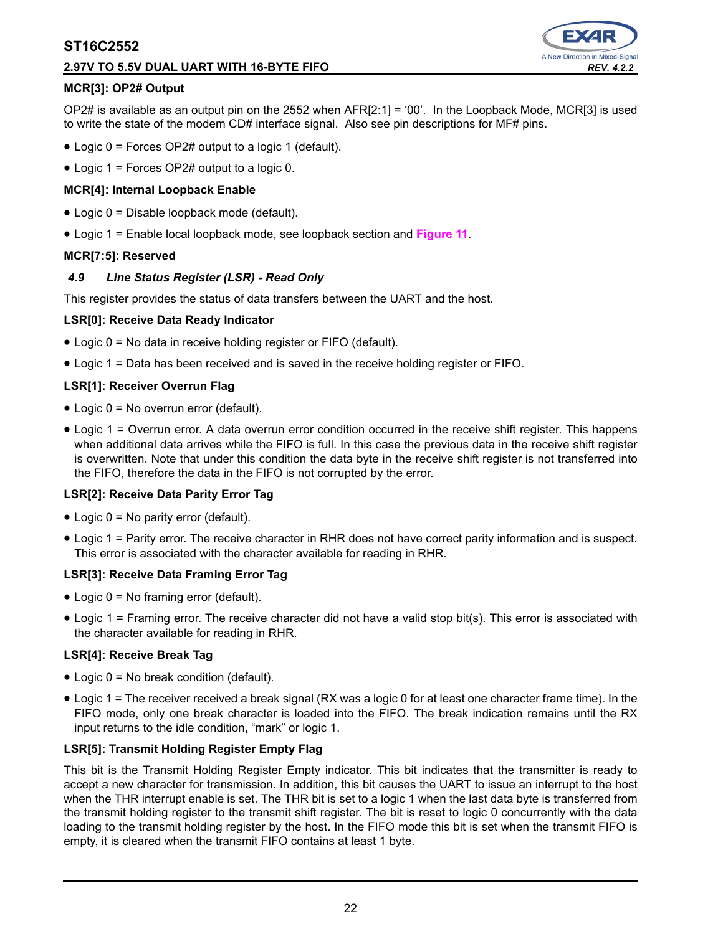### **2.97V TO 5.5V DUAL UART WITH 16-BYTE FIFO** *REV. 4.2.2*



#### **MCR[3]: OP2# Output**

OP2# is available as an output pin on the 2552 when AFR[2:1] = '00'. In the Loopback Mode, MCR[3] is used to write the state of the modem CD# interface signal. Also see pin descriptions for MF# pins.

- Logic 0 = Forces OP2# output to a logic 1 (default).
- Logic 1 = Forces OP2# output to a logic 0.

#### **MCR[4]: Internal Loopback Enable**

- Logic 0 = Disable loopback mode (default).
- Logic 1 = Enable local loopback mode, see loopback section and **[Figure](#page-13-0) 11**.

#### **MCR[7:5]: Reserved**

#### *4.9 Line Status Register (LSR) - Read Only*

This register provides the status of data transfers between the UART and the host.

#### **LSR[0]: Receive Data Ready Indicator**

- Logic 0 = No data in receive holding register or FIFO (default).
- Logic 1 = Data has been received and is saved in the receive holding register or FIFO.

#### **LSR[1]: Receiver Overrun Flag**

- Logic 0 = No overrun error (default).
- Logic 1 = Overrun error. A data overrun error condition occurred in the receive shift register. This happens when additional data arrives while the FIFO is full. In this case the previous data in the receive shift register is overwritten. Note that under this condition the data byte in the receive shift register is not transferred into the FIFO, therefore the data in the FIFO is not corrupted by the error.

#### **LSR[2]: Receive Data Parity Error Tag**

- Logic 0 = No parity error (default).
- Logic 1 = Parity error. The receive character in RHR does not have correct parity information and is suspect. This error is associated with the character available for reading in RHR.

#### **LSR[3]: Receive Data Framing Error Tag**

- Logic 0 = No framing error (default).
- Logic 1 = Framing error. The receive character did not have a valid stop bit(s). This error is associated with the character available for reading in RHR.

#### **LSR[4]: Receive Break Tag**

- Logic 0 = No break condition (default).
- Logic 1 = The receiver received a break signal (RX was a logic 0 for at least one character frame time). In the FIFO mode, only one break character is loaded into the FIFO. The break indication remains until the RX input returns to the idle condition, "mark" or logic 1.

#### **LSR[5]: Transmit Holding Register Empty Flag**

This bit is the Transmit Holding Register Empty indicator. This bit indicates that the transmitter is ready to accept a new character for transmission. In addition, this bit causes the UART to issue an interrupt to the host when the THR interrupt enable is set. The THR bit is set to a logic 1 when the last data byte is transferred from the transmit holding register to the transmit shift register. The bit is reset to logic 0 concurrently with the data loading to the transmit holding register by the host. In the FIFO mode this bit is set when the transmit FIFO is empty, it is cleared when the transmit FIFO contains at least 1 byte.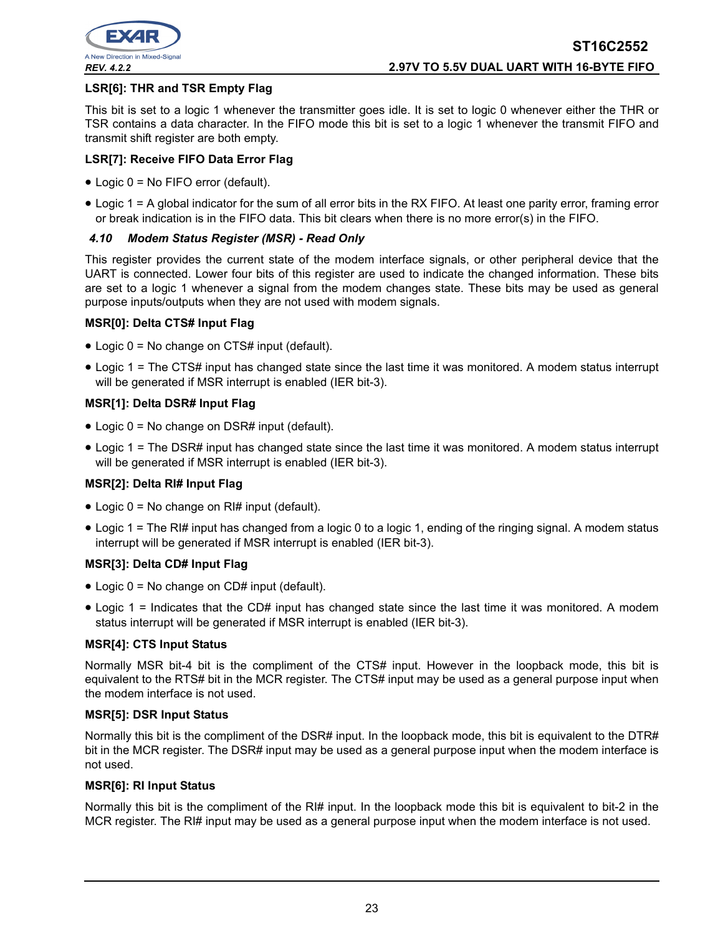

#### **LSR[6]: THR and TSR Empty Flag**

This bit is set to a logic 1 whenever the transmitter goes idle. It is set to logic 0 whenever either the THR or TSR contains a data character. In the FIFO mode this bit is set to a logic 1 whenever the transmit FIFO and transmit shift register are both empty.

#### **LSR[7]: Receive FIFO Data Error Flag**

- Logic 0 = No FIFO error (default).
- Logic 1 = A global indicator for the sum of all error bits in the RX FIFO. At least one parity error, framing error or break indication is in the FIFO data. This bit clears when there is no more error(s) in the FIFO.

#### *4.10 Modem Status Register (MSR) - Read Only*

This register provides the current state of the modem interface signals, or other peripheral device that the UART is connected. Lower four bits of this register are used to indicate the changed information. These bits are set to a logic 1 whenever a signal from the modem changes state. These bits may be used as general purpose inputs/outputs when they are not used with modem signals.

#### **MSR[0]: Delta CTS# Input Flag**

- Logic 0 = No change on CTS# input (default).
- Logic 1 = The CTS# input has changed state since the last time it was monitored. A modem status interrupt will be generated if MSR interrupt is enabled (IER bit-3).

#### **MSR[1]: Delta DSR# Input Flag**

- Logic 0 = No change on DSR# input (default).
- Logic 1 = The DSR# input has changed state since the last time it was monitored. A modem status interrupt will be generated if MSR interrupt is enabled (IER bit-3).

#### **MSR[2]: Delta RI# Input Flag**

- Logic 0 = No change on RI# input (default).
- Logic 1 = The RI# input has changed from a logic 0 to a logic 1, ending of the ringing signal. A modem status interrupt will be generated if MSR interrupt is enabled (IER bit-3).

#### **MSR[3]: Delta CD# Input Flag**

- Logic 0 = No change on CD# input (default).
- Logic 1 = Indicates that the CD# input has changed state since the last time it was monitored. A modem status interrupt will be generated if MSR interrupt is enabled (IER bit-3).

#### **MSR[4]: CTS Input Status**

Normally MSR bit-4 bit is the compliment of the CTS# input. However in the loopback mode, this bit is equivalent to the RTS# bit in the MCR register. The CTS# input may be used as a general purpose input when the modem interface is not used.

#### **MSR[5]: DSR Input Status**

Normally this bit is the compliment of the DSR# input. In the loopback mode, this bit is equivalent to the DTR# bit in the MCR register. The DSR# input may be used as a general purpose input when the modem interface is not used.

#### **MSR[6]: RI Input Status**

Normally this bit is the compliment of the RI# input. In the loopback mode this bit is equivalent to bit-2 in the MCR register. The RI# input may be used as a general purpose input when the modem interface is not used.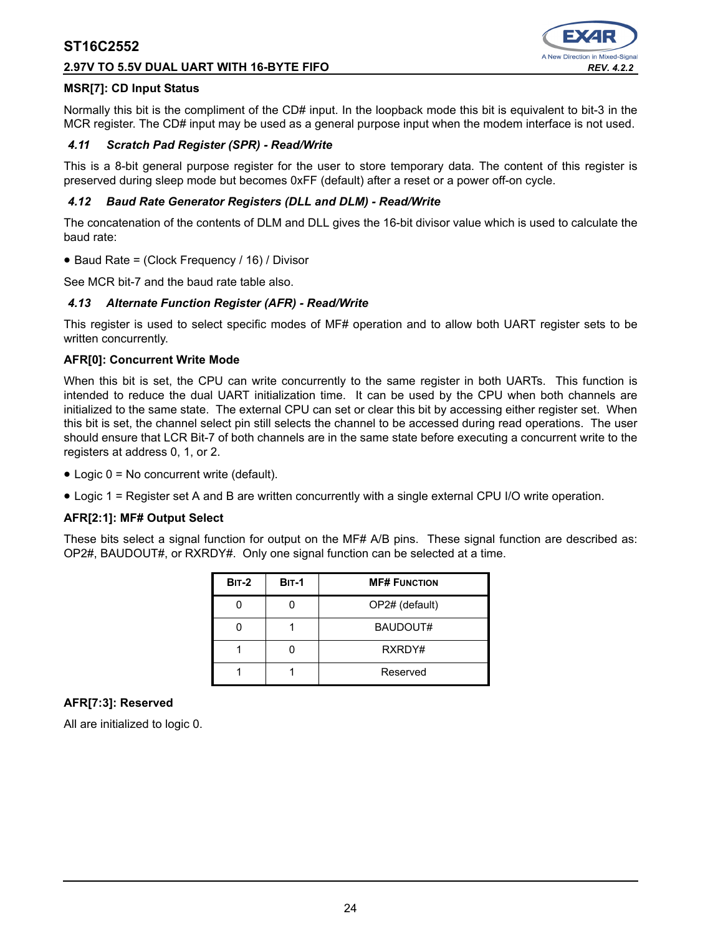#### **2.97V TO 5.5V DUAL UART WITH 16-BYTE FIFO** *REV. 4.2.2*



#### **MSR[7]: CD Input Status**

Normally this bit is the compliment of the CD# input. In the loopback mode this bit is equivalent to bit-3 in the MCR register. The CD# input may be used as a general purpose input when the modem interface is not used.

#### *4.11 Scratch Pad Register (SPR) - Read/Write*

This is a 8-bit general purpose register for the user to store temporary data. The content of this register is preserved during sleep mode but becomes 0xFF (default) after a reset or a power off-on cycle.

#### *4.12 Baud Rate Generator Registers (DLL and DLM) - Read/Write*

The concatenation of the contents of DLM and DLL gives the 16-bit divisor value which is used to calculate the baud rate:

• Baud Rate = (Clock Frequency / 16) / Divisor

See MCR bit-7 and the baud rate table also.

#### *4.13 Alternate Function Register (AFR) - Read/Write*

This register is used to select specific modes of MF# operation and to allow both UART register sets to be written concurrently.

#### **AFR[0]: Concurrent Write Mode**

When this bit is set, the CPU can write concurrently to the same register in both UARTs. This function is intended to reduce the dual UART initialization time. It can be used by the CPU when both channels are initialized to the same state. The external CPU can set or clear this bit by accessing either register set. When this bit is set, the channel select pin still selects the channel to be accessed during read operations. The user should ensure that LCR Bit-7 of both channels are in the same state before executing a concurrent write to the registers at address 0, 1, or 2.

- Logic 0 = No concurrent write (default).
- Logic 1 = Register set A and B are written concurrently with a single external CPU I/O write operation.

#### **AFR[2:1]: MF# Output Select**

These bits select a signal function for output on the MF# A/B pins. These signal function are described as: OP2#, BAUDOUT#, or RXRDY#. Only one signal function can be selected at a time.

| <b>BIT-2</b> | <b>BIT-1</b> | <b>MF# FUNCTION</b> |
|--------------|--------------|---------------------|
|              |              | OP2# (default)      |
|              |              | BAUDOUT#            |
|              |              | RXRDY#              |
|              |              | Reserved            |

#### **AFR[7:3]: Reserved**

All are initialized to logic 0.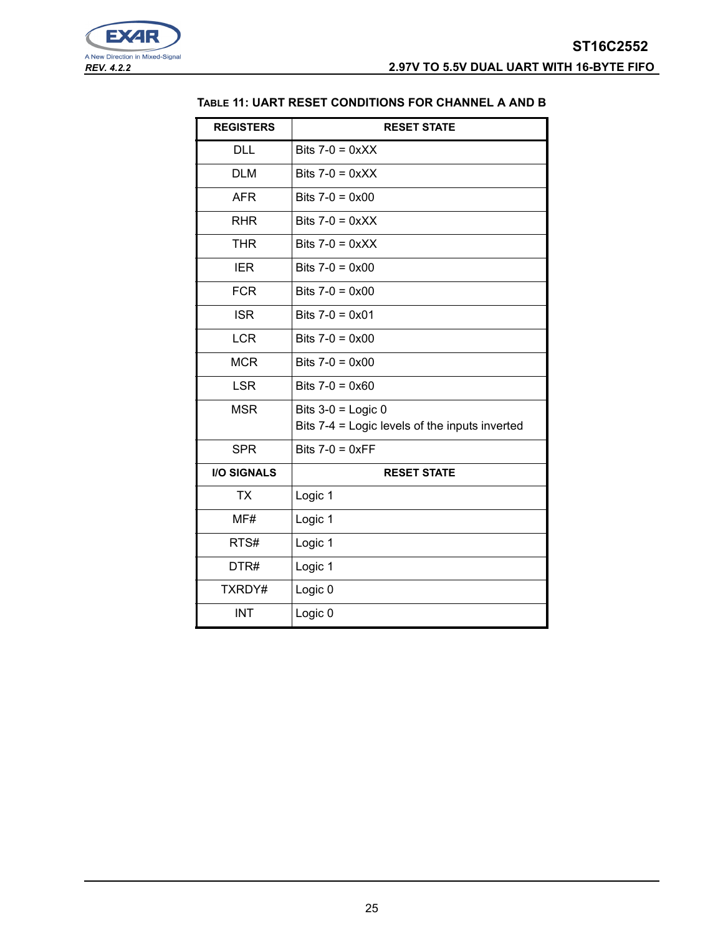<span id="page-24-0"></span>

# **TABLE 11: UART RESET CONDITIONS FOR CHANNEL A AND B**

| <b>REGISTERS</b>   | <b>RESET STATE</b>                             |
|--------------------|------------------------------------------------|
| <b>DLL</b>         | Bits $7-0 = 0 \times X$                        |
| <b>DLM</b>         | Bits $7-0 = 0 \times XX$                       |
| <b>AFR</b>         | Bits $7-0 = 0 \times 00$                       |
| <b>RHR</b>         | Bits $7-0 = 0 \times X$                        |
| <b>THR</b>         | Bits $7-0 = 0 \times XX$                       |
| <b>IER</b>         | Bits $7-0 = 0 \times 00$                       |
| <b>FCR</b>         | Bits $7-0 = 0 \times 00$                       |
| <b>ISR</b>         | Bits $7-0 = 0 \times 01$                       |
| <b>LCR</b>         | Bits $7-0 = 0 \times 00$                       |
| <b>MCR</b>         | Bits $7-0 = 0 \times 00$                       |
| <b>LSR</b>         | Bits $7-0 = 0 \times 60$                       |
| <b>MSR</b>         | Bits $3-0$ = Logic 0                           |
|                    | Bits 7-4 = Logic levels of the inputs inverted |
| <b>SPR</b>         | Bits $7-0 = 0 \times FF$                       |
| <b>I/O SIGNALS</b> | <b>RESET STATE</b>                             |
| <b>TX</b>          | Logic 1                                        |
| MF#                | Logic 1                                        |
| RTS#               | Logic 1                                        |
| DTR#               | Logic 1                                        |
| TXRDY#             | Logic 0                                        |
| <b>INT</b>         | Logic 0                                        |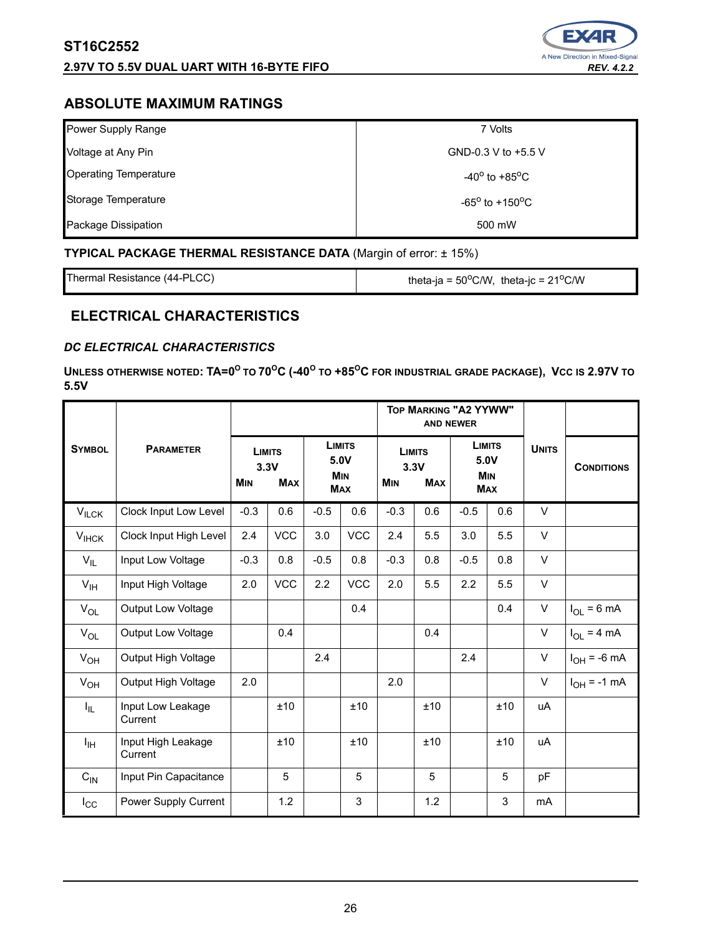# **2.97V TO 5.5V DUAL UART WITH 16-BYTE FIFO** *REV. 4.2.2*



# **ABSOLUTE MAXIMUM RATINGS**

| Power Supply Range           | 7 Volts                           |
|------------------------------|-----------------------------------|
| Voltage at Any Pin           | GND-0.3 V to +5.5 V               |
| <b>Operating Temperature</b> | $-40^{\circ}$ to $+85^{\circ}$ C  |
| Storage Temperature          | $-65^{\circ}$ to $+150^{\circ}$ C |
| Package Dissipation          | 500 mW                            |

# **TYPICAL PACKAGE THERMAL RESISTANCE DATA (Margin of error: ± 15%)**

Thermal Resistance (44-PLCC) theta-ja =  $50^{\circ}$ C/W, theta-jc =  $21^{\circ}$ C/W

# **ELECTRICAL CHARACTERISTICS**

# *DC ELECTRICAL CHARACTERISTICS*

 $\blacksquare$  <code>UNLESS</code> <code>OTHERWISE</code> <code>NOTED: <code>TA=0 $^{\text{o}}$  to 70 $^{\text{o}}$ C (-40 $^{\text{o}}$  to +85 $^{\text{o}}$ C for industrial grade package), <code>Vcc</code> is 2.97V to</code></code> **5.5V** 

|                   |                               |                                                   |            |                                                   |            | TOP MARKING "A2 YYWW"                             | <b>AND NEWER</b> |                                                   |     |              |                   |
|-------------------|-------------------------------|---------------------------------------------------|------------|---------------------------------------------------|------------|---------------------------------------------------|------------------|---------------------------------------------------|-----|--------------|-------------------|
| <b>SYMBOL</b>     | <b>PARAMETER</b>              | <b>LIMITS</b><br>3.3V<br><b>MIN</b><br><b>MAX</b> |            | <b>LIMITS</b><br>5.0V<br><b>MIN</b><br><b>MAX</b> |            | <b>LIMITS</b><br>3.3V<br><b>MAX</b><br><b>MIN</b> |                  | <b>LIMITS</b><br>5.0V<br><b>MIN</b><br><b>MAX</b> |     | <b>UNITS</b> | <b>CONDITIONS</b> |
| $V_{ILCK}$        | Clock Input Low Level         | $-0.3$                                            | 0.6        | $-0.5$                                            | 0.6        | $-0.3$                                            | 0.6              | $-0.5$                                            | 0.6 | V            |                   |
| $V_{HCK}$         | Clock Input High Level        | 2.4                                               | <b>VCC</b> | 3.0                                               | <b>VCC</b> | 2.4                                               | 5.5              | 3.0                                               | 5.5 | $\vee$       |                   |
| $V_{IL}$          | Input Low Voltage             | $-0.3$                                            | 0.8        | $-0.5$                                            | 0.8        | $-0.3$                                            | 0.8              | $-0.5$                                            | 0.8 | $\vee$       |                   |
| $V_{\text{IH}}$   | Input High Voltage            | 2.0                                               | <b>VCC</b> | 2.2                                               | <b>VCC</b> | 2.0                                               | 5.5              | 2.2                                               | 5.5 | $\vee$       |                   |
| $V_{OL}$          | Output Low Voltage            |                                                   |            |                                                   | 0.4        |                                                   |                  |                                                   | 0.4 | $\vee$       | $I_{OL}$ = 6 mA   |
| $V_{OL}$          | <b>Output Low Voltage</b>     |                                                   | 0.4        |                                                   |            |                                                   | 0.4              |                                                   |     | V            | $I_{OL}$ = 4 mA   |
| $V_{OH}$          | Output High Voltage           |                                                   |            | 2.4                                               |            |                                                   |                  | 2.4                                               |     | V            | $I_{OH}$ = -6 mA  |
| $V_{OH}$          | Output High Voltage           | 2.0                                               |            |                                                   |            | 2.0                                               |                  |                                                   |     | $\vee$       | $I_{OH}$ = -1 mA  |
| $I_{\parallel L}$ | Input Low Leakage<br>Current  |                                                   | ±10        |                                                   | ±10        |                                                   | ±10              |                                                   | ±10 | uA           |                   |
| Iн                | Input High Leakage<br>Current |                                                   | ±10        |                                                   | ±10        |                                                   | ±10              |                                                   | ±10 | uA           |                   |
| $C_{\text{IN}}$   | Input Pin Capacitance         |                                                   | 5          |                                                   | 5          |                                                   | 5                |                                                   | 5   | pF           |                   |
| $I_{\rm CC}$      | Power Supply Current          |                                                   | 1.2        |                                                   | 3          |                                                   | 1.2              |                                                   | 3   | mA           |                   |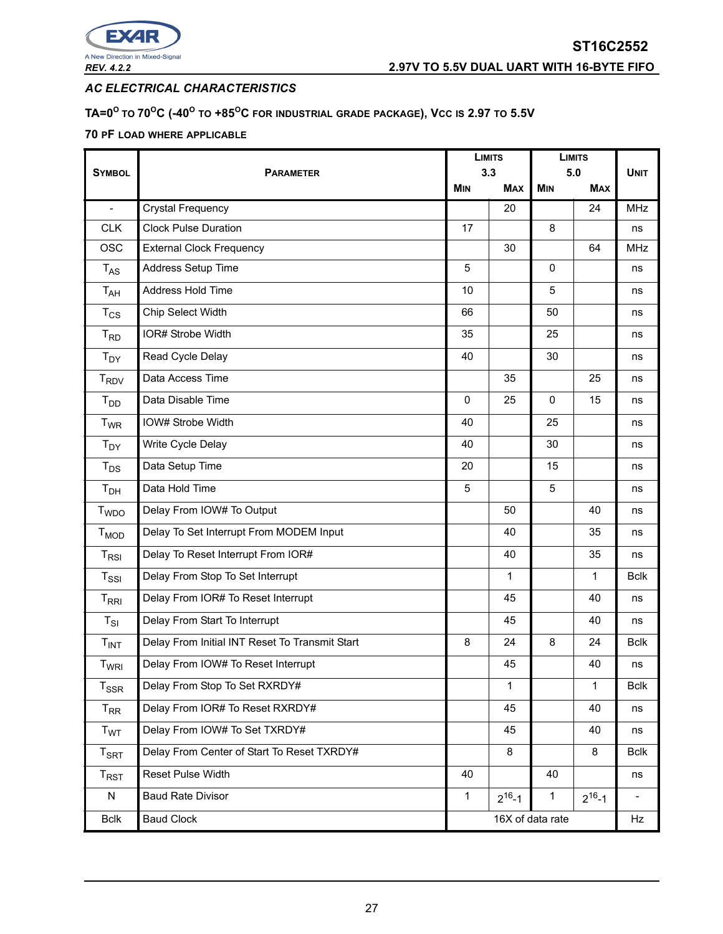

*AC ELECTRICAL CHARACTERISTICS* 

#### $\mathbf{D} = \mathbf{D}^\mathrm{O}$  to  $\mathbf{D}^\mathrm{O}$  (-40 $^\mathrm{O}$  to +85 $^\mathrm{O}$ C for industrial grade package), Vcc is 2.97 to 5.5V

# **70 PF LOAD WHERE APPLICABLE**

|                                               |                                                | <b>LIMITS</b>    |              | <b>LIMITS</b> |              | <b>UNIT</b>              |
|-----------------------------------------------|------------------------------------------------|------------------|--------------|---------------|--------------|--------------------------|
| <b>SYMBOL</b>                                 | <b>PARAMETER</b>                               |                  | 3.3          |               | 5.0          |                          |
|                                               |                                                | <b>MIN</b>       | <b>MAX</b>   | <b>MIN</b>    | <b>MAX</b>   |                          |
| $\blacksquare$                                | Crystal Frequency                              |                  | 20           |               | 24           | <b>MHz</b>               |
| <b>CLK</b>                                    | <b>Clock Pulse Duration</b>                    | 17               |              | 8             |              | ns                       |
| <b>OSC</b>                                    | <b>External Clock Frequency</b>                |                  | 30           |               | 64           | <b>MHz</b>               |
| $T_{AS}$                                      | Address Setup Time                             | 5                |              | $\Omega$      |              | ns                       |
| T <sub>AH</sub>                               | Address Hold Time                              | 10               |              | 5             |              | ns                       |
| $T_{CS}$                                      | Chip Select Width                              | 66               |              | 50            |              | ns                       |
| $T_{RD}$                                      | IOR# Strobe Width                              | 35               |              | 25            |              | ns                       |
| $T_{DY}$                                      | Read Cycle Delay                               | 40               |              | 30            |              | ns                       |
| T <sub>RDV</sub>                              | Data Access Time                               |                  | 35           |               | 25           | ns                       |
| $T_{DD}$                                      | Data Disable Time                              | 0                | 25           | 0             | 15           | ns                       |
| T <sub>WR</sub>                               | IOW# Strobe Width                              | 40               |              | 25            |              | ns                       |
| $T_{DY}$                                      | Write Cycle Delay                              | 40               |              | 30            |              | ns                       |
| $T_{DS}$                                      | Data Setup Time                                | 20               |              | 15            |              | ns                       |
| T <sub>DH</sub>                               | Data Hold Time                                 | 5                |              | 5             |              | ns                       |
| <b>T</b> <sub>WDO</sub>                       | Delay From IOW# To Output                      |                  | 50           |               | 40           | ns                       |
| $T_{MOD}$                                     | Delay To Set Interrupt From MODEM Input        |                  | 40           |               | 35           | ns                       |
| $\mathsf{T}_{\mathsf{RSI}}$                   | Delay To Reset Interrupt From IOR#             |                  | 40           |               | 35           | ns                       |
| $T_{\rm SSI}$                                 | Delay From Stop To Set Interrupt               |                  | 1            |               | 1            | <b>Bclk</b>              |
| $\mathsf{T}_{\mathsf{R}\mathsf{R}\mathsf{I}}$ | Delay From IOR# To Reset Interrupt             |                  | 45           |               | 40           | ns                       |
| $T_{SI}$                                      | Delay From Start To Interrupt                  |                  | 45           |               | 40           | ns                       |
| $T_{INT}$                                     | Delay From Initial INT Reset To Transmit Start | 8                | 24           | 8             | 24           | <b>Bclk</b>              |
| T <sub>WRI</sub>                              | Delay From IOW# To Reset Interrupt             |                  | 45           |               | 40           | ns                       |
| $T_{SSR}$                                     | Delay From Stop To Set RXRDY#                  |                  | 1            |               | 1            | <b>Bclk</b>              |
| $T_{\sf RR}$                                  | Delay From IOR# To Reset RXRDY#                |                  | 45           |               | 40           | ns                       |
| T <sub>WT</sub>                               | Delay From IOW# To Set TXRDY#                  |                  | 45           |               | 40           | ns                       |
| $T_{\sf SRT}$                                 | Delay From Center of Start To Reset TXRDY#     |                  | 8            |               | 8            | <b>Bclk</b>              |
| $T_{RST}$                                     | Reset Pulse Width                              | 40               |              | 40            |              | ns                       |
| ${\sf N}$                                     | <b>Baud Rate Divisor</b>                       | $\mathbf{1}$     | $2^{16} - 1$ | 1             | $2^{16} - 1$ | $\overline{\phantom{0}}$ |
| <b>Bclk</b>                                   | <b>Baud Clock</b>                              | 16X of data rate |              | Hz            |              |                          |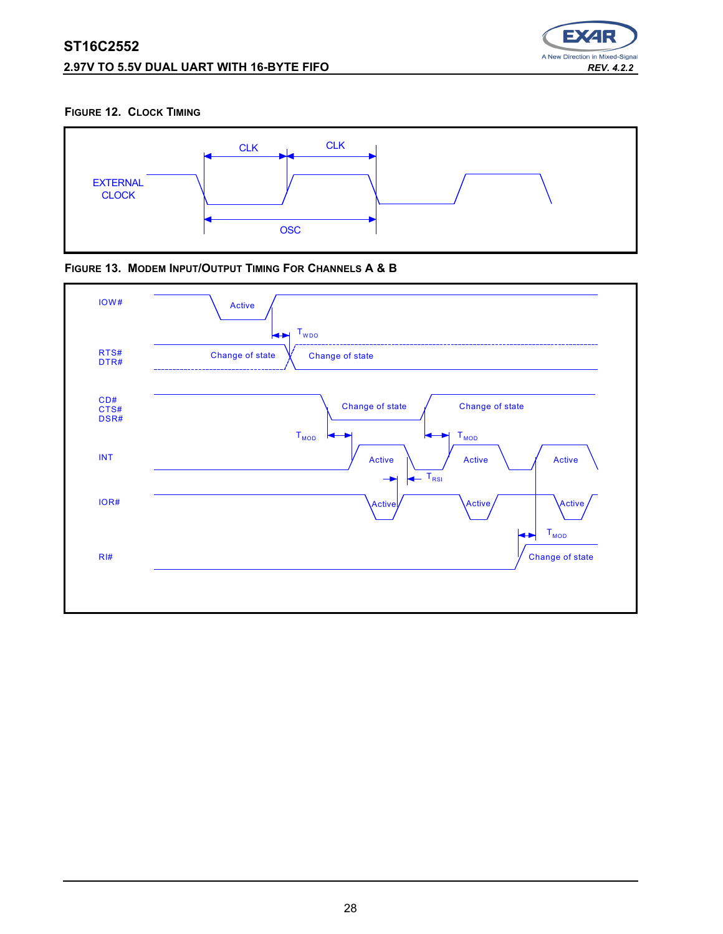# **ST16C2552 2.97V TO 5.5V DUAL UART WITH 16-BYTE FIFO** *REV. 4.2.2*



#### **FIGURE 12. CLOCK TIMING**





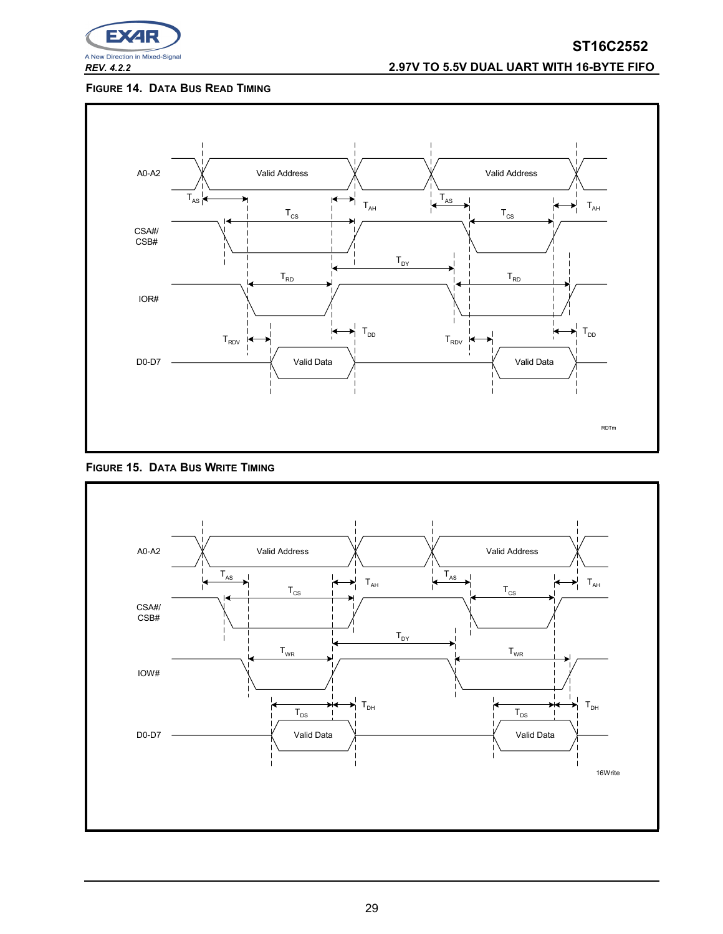

# *REV. 4.2.2* **2.97V TO 5.5V DUAL UART WITH 16-BYTE FIFO**

#### <span id="page-28-0"></span>**FIGURE 14. DATA BUS READ TIMING**



<span id="page-28-1"></span>

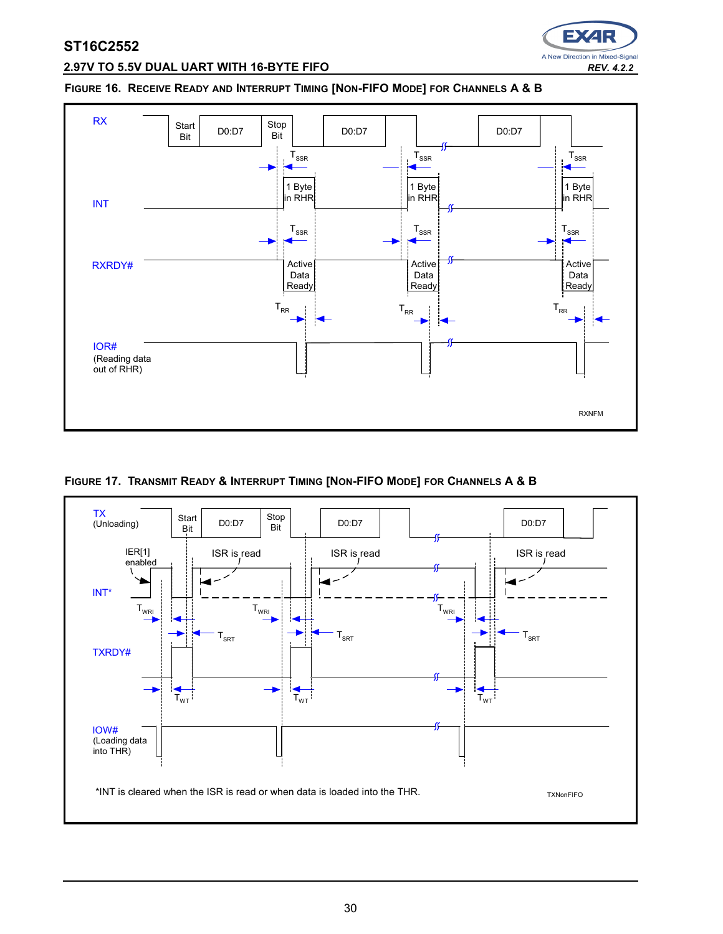

# **2.97V TO 5.5V DUAL UART WITH 16-BYTE FIFO** *REV. 4.2.2*

#### <span id="page-29-0"></span>**FIGURE 16. RECEIVE READY AND INTERRUPT TIMING [NON-FIFO MODE] FOR CHANNELS A & B**



**FIGURE 17. TRANSMIT READY & INTERRUPT TIMING [NON-FIFO MODE] FOR CHANNELS A & B**

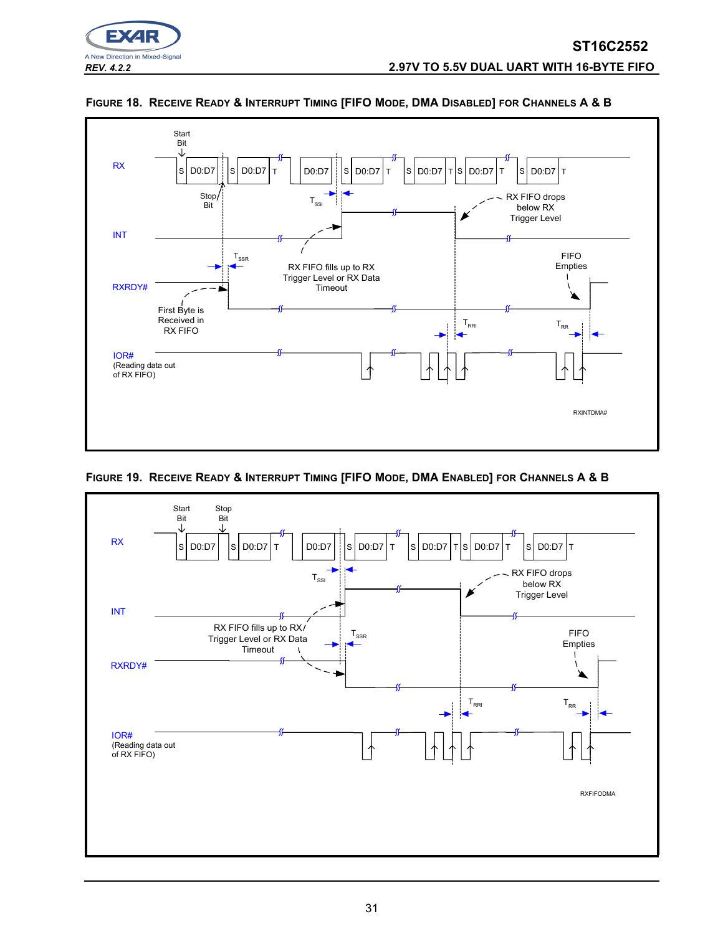





**FIGURE 19. RECEIVE READY & INTERRUPT TIMING [FIFO MODE, DMA ENABLED] FOR CHANNELS A & B**

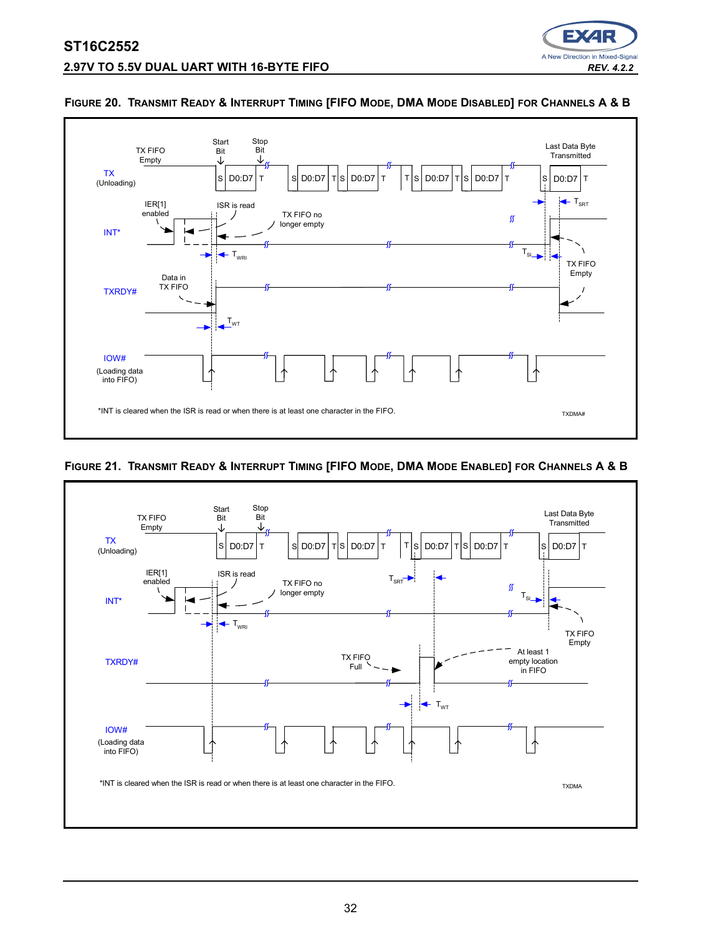



#### **FIGURE 20. TRANSMIT READY & INTERRUPT TIMING [FIFO MODE, DMA MODE DISABLED] FOR CHANNELS A & B**

# <span id="page-31-0"></span>**FIGURE 21. TRANSMIT READY & INTERRUPT TIMING [FIFO MODE, DMA MODE ENABLED] FOR CHANNELS A & B**

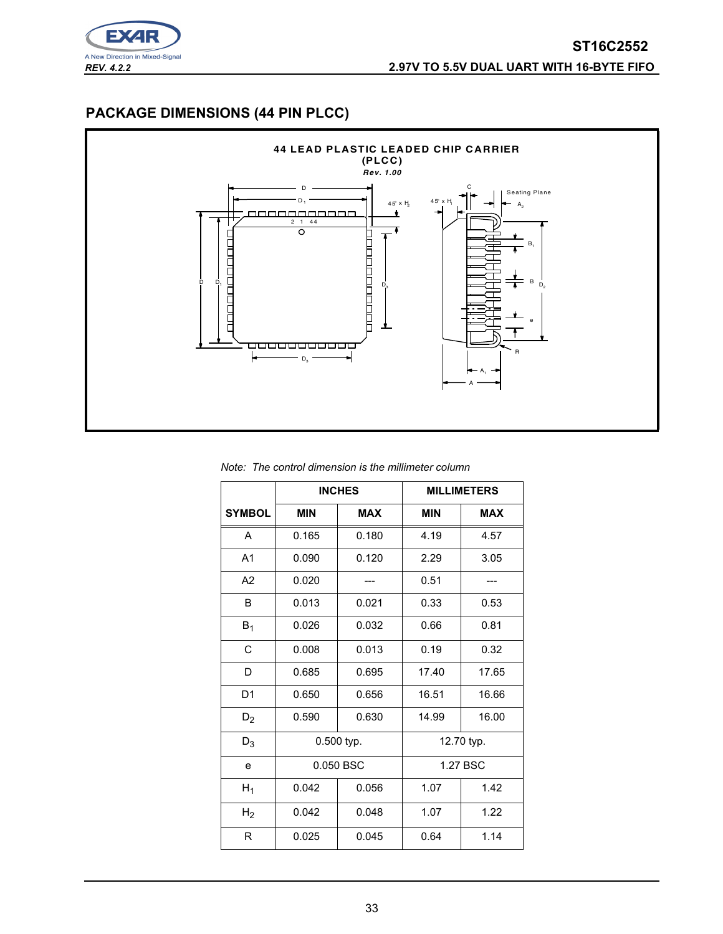

# **PACKAGE DIMENSIONS (44 PIN PLCC)**



*Note: The control dimension is the millimeter column*

|                |            | <b>INCHES</b> | <b>MILLIMETERS</b> |            |  |
|----------------|------------|---------------|--------------------|------------|--|
| <b>SYMBOL</b>  | <b>MIN</b> | <b>MAX</b>    | <b>MIN</b>         | <b>MAX</b> |  |
| A              | 0.165      | 0.180         | 4.19               | 4.57       |  |
| A <sub>1</sub> | 0.090      | 0.120         | 2.29               | 3.05       |  |
| A2             | 0.020      |               | 0.51               |            |  |
| B              | 0.013      | 0.021         | 0.33               | 0.53       |  |
| $B_1$          | 0.026      | 0.032         | 0.66               | 0.81       |  |
| C              | 0.008      | 0.013         | 0.19               | 0.32       |  |
| D              | 0.685      | 0.695         | 17.40              | 17.65      |  |
| D <sub>1</sub> | 0.650      | 0.656         | 16.51              | 16.66      |  |
| $D_2$          | 0.590      | 0.630         | 14.99              | 16.00      |  |
| $D_3$          | 0.500 typ. |               | 12.70 typ.         |            |  |
| e              | 0.050 BSC  |               | 1.27 BSC           |            |  |
| $H_1$          | 0.042      | 0.056         | 1.07<br>1.42       |            |  |
| H <sub>2</sub> | 0.042      | 0.048         | 1.22<br>1.07       |            |  |
| R              | 0.025      | 0.045         | 0.64               | 1.14       |  |